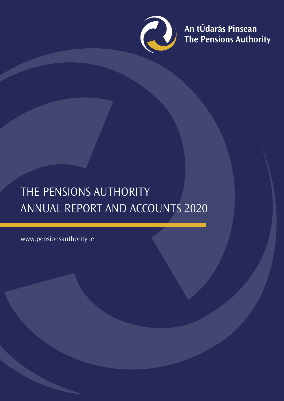

An tÚdarás Pinsean<br>The Pensions Authority

# THE PENSIONS AUTHORITY ANNUAL REPORT AND ACCOUNTS 2020

www.pensionsauthority.ie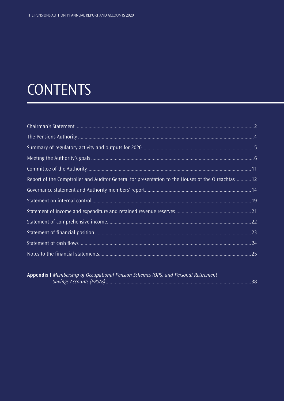# **CONTENTS**

| Report of the Comptroller and Auditor General for presentation to the Houses of the Oireachtas12 |  |
|--------------------------------------------------------------------------------------------------|--|
|                                                                                                  |  |
|                                                                                                  |  |
|                                                                                                  |  |
|                                                                                                  |  |
|                                                                                                  |  |
|                                                                                                  |  |
|                                                                                                  |  |

| Appendix I Membership of Occupational Pension Schemes (OPS) and Personal Retirement |  |
|-------------------------------------------------------------------------------------|--|
|                                                                                     |  |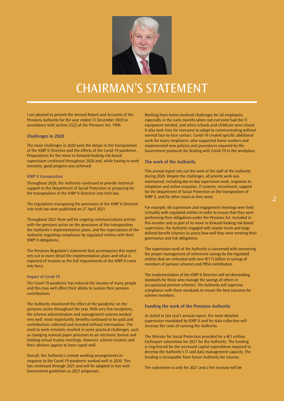<span id="page-2-0"></span>

# CHAIRMAN'S STATEMENT

I am pleased to present the Annual Report and Accounts of the Pensions Authority for the year ended 31 December 2020 in accordance with section 23(2) of the Pensions Act, 1990.

#### **Challenges in 2020**

The main challenges in 2020 were the delays in the transposition of the IORP II Directive and the effects of the Covid-19 pandemic. Preparations for the move to forward-looking risk-based supervision continued throughout 2020 and, while having to work remotely, good progress was achieved.

#### IORP II transposition

Throughout 2020, the Authority continued to provide technical support to the Department of Social Protection in preparing for the transposition of the IORP II Directive into Irish law.

The regulations transposing the provisions of the IORP II Directive into Irish law were published on 27 April 2021.

Throughout 2021 there will be ongoing communications activity with the pensions sector on the provisions of the transposition, the Authority's implementation plans, and the expectations of the Authority regarding compliance by regulated entities with their IORP II obligations.

The Pensions Regulator's statement that accompanies this report sets out in more detail the implementation plans and what is expected of trustees as the full requirements of the IORP II come into force.

## Impact of Covid-19

The Covid-19 pandemic has reduced the income of many people and this may well affect their ability to sustain their pension contributions.

The Authority monitored the effect of the pandemic on the pensions sector throughout the year. With very few exceptions, the scheme administration and management systems worked very well: most importantly, benefits continued to be paid and contributions collected and invested without interruption. The need to work remotely resulted in some practical challenges, such as changing manual paper processes to an electronic format and holding virtual trustee meetings. However, scheme trustees and their advisers appear to have coped well.

Overall, the Authority's remote working arrangements in response to the Covid-19 pandemic worked well in 2020. This has continued through 2021 and will be adapted in line with Government guidelines as 2021 progresses.

Working from home involved challenges for all employees, especially in the early months when not everyone had the IT equipment needed, and when schools and childcare were closed. It also took time for everyone to adapt to communicating without normal face-to-face contact. Covid-19 created specific additional work for many employees, who supported home workers and implemented new policies and procedures required by the Government protocols for dealing with Covid-19 in the workplace.

# **The work of the Authority**

This annual report sets out the work of the staff of the Authority during 2020. Despite the challenges, all priority work was maintained, including day-to-day supervision work, responses to telephone and online enquiries, IT systems, recruitment, support for the Department of Social Protection on the transposition of IORP II, and for other issues as they arose.

For example, 66 supervision and engagement meetings were held (virtually) with regulated entities in order to ensure that they were performing their obligations under the Pensions Act. Included in this number and as part of its move to forward-looking risk-based supervision, the Authority engaged with master trusts and large defined benefit schemes to assess how well they were meeting their governance and risk obligations.

The supervision work of the Authority is concerned with overseeing the proper management of retirement savings by the regulated entities that are entrusted with over €115 billion in savings of members of pension schemes and PRSA contributors.

The implementation of the IORP II Directive will set demanding standards for those who manage the savings of others in occupational pension schemes. The Authority will supervise compliance with these standards to ensure the best outcome for scheme members.

# **Funding the work of the Pensions Authority**

As stated in last year's annual report, the more detailed supervision mandated by IORP II and for data collection will increase the costs of running the Authority.

The Minister for Social Protection provided for  $a \in S$  million Exchequer subvention for 2021 for the Authority. The funding is ring-fenced for the increased capital expenditure required to develop the Authority's IT and data management capacity. The funding is recoupable from future Authority fee income.

The subvention is only for 2021 and a fee increase will be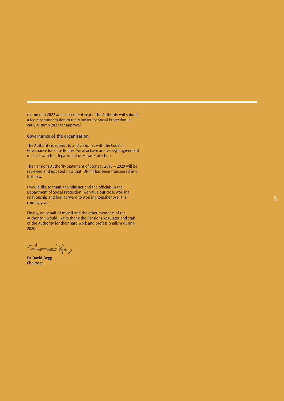required in 2022 and subsequent years. The Authority will submit a fee recommendation to the Minister for Social Protection in early autumn 2021 for approval.

# **Governance of the organisation**

The Authority is subject to and complies with the Code of Governance for State Bodies. We also have an oversight agreement in place with the Department of Social Protection.

The Pensions Authority Statement of Strategy 2016 – 2020 will be reviewed and updated now that IORP II has been transposed into Irish law.

I would like to thank the Minister and the officials in the Department of Social Protection. We value our close working relationship and look forward to working together over the coming years.

Finally, on behalf of myself and the other members of the Authority, I would like to thank the Pensions Regulator and staff of the Authority for their hard work and professionalism during 2020.

 $E_{7}$ 

**Dr David Begg** Chairma n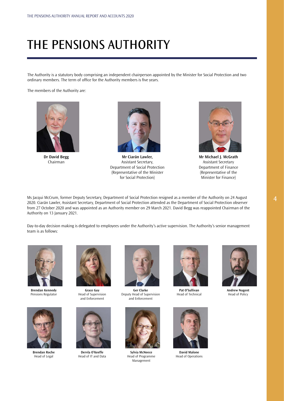# <span id="page-4-0"></span>THE PENSIONS AUTHORITY

The Authority is a statutory body comprising an independent chairperson appointed by the Minister for Social Protection and two ordinary members. The term of office for the Authority members is five years.

The members of the Authority are:



**Dr David Begg** Chairman



**Mr Ciarán Lawler,**  Assistant Secretary, Department of Social Protection (Representative of the Minister for Social Protection)



**Mr Michael J. McGrath** Assistant Secretary Department of Finance (Representative of the Minister for Finance)

Ms Jacqui McCrum, former Deputy Secretary, Department of Social Protection resigned as a member of the Authority on 24 August 2020. Ciarán Lawler, Assistant Secretary, Department of Social Protection attended as the Department of Social Protection observer from 27 October 2020 and was appointed as an Authority member on 29 March 2021. David Begg was reappointed Chairman of the Authority on 13 January 2021.

Day-to-day decision making is delegated to employees under the Authority's active supervision. The Authority's senior management team is as follows:



**Brendan Kennedy** Pensions Regulator

**Brendan Roche** Head of Legal



Head of Supervision and Enforcement



**Dervla O'Keeffe** Head of IT and Data



**Ger Clarke** Deputy Head of Supervision and Enforcement



**Pat O'Sullivan** Head of Technical



**Andrew Nugent** Head of Policy



**Sylvia McNeece** Head of Programme Management



**David Malone** Head of Operations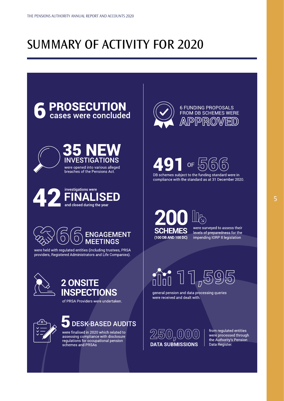# <span id="page-5-0"></span>SUMMARY OF ACTIVITY FOR 2020









were held with regulated entities (including trustees, PRSA providers, Registered Administrators and Life Companies).



# 2 ONSITE **INSPECTIONS**





# **DESK-BASED AUDITS**

were finalised in 2020 which related to assessing compliance with disclosure regulations for occupational pension schemes and PRSAs



**6 FUNDING PROPOSALS** FROM DB SCHEMES WERE PPR(



**SCHEMES** (100 DB AND 100 DC)

were surveyed to assess their levels of preparedness for the impending IORP II legislation

 $\widehat{\mathbb{H}}$  11,5

general pension and data processing queries were received and dealt with.

 $250$  (0) (0) (0) **DATA SUBMISSIONS** 

from regulated entities were processed through the Authority's Pension Data Register.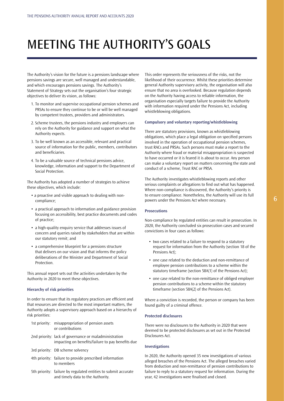# <span id="page-6-0"></span>MEETING THE AUTHORITY'S GOALS

The Authority's vision for the future is a pensions landscape where pensions savings are secure, well managed and understandable, and which encourages pensions savings. The Authority's Statement of Strategy sets out the organisation's four strategic objectives to deliver its vision, as follows:

- 1. To monitor and supervise occupational pension schemes and PRSAs to ensure they continue to be or will be well managed by competent trustees, providers and administrators.
- 2. Scheme trustees, the pensions industry and employers can rely on the Authority for guidance and support on what the Authority expects.
- 3. To be well known as an accessible, relevant and practical source of information for the public, members, contributors and beneficiaries.
- 4. To be a valuable source of technical pensions advice, knowledge, information and support to the Department of Social Protection.

The Authority has adopted a number of strategies to achieve these objectives, which include:

- a proactive and visible approach to dealing with noncompliance;
- a practical approach to information and guidance provision focusing on accessibility, best practice documents and codes of practice;
- a high-quality enquiry service that addresses issues of concern and queries raised by stakeholders that are within our statutory remit; and
- a comprehensive blueprint for a pensions structure that delivers on our vision and that informs the policy deliberations of the Minister and Department of Social **Protection**

This annual report sets out the activities undertaken by the Authority in 2020 to meet these objectives.

# **Hierarchy of risk priorities**

In order to ensure that its regulatory practices are efficient and that resources are directed to the most important matters, the Authority adopts a supervisory approach based on a hierarchy of risk priorities:

- 1st priority: misappropriation of pension assets or contributions
- 2nd priority: lack of governance or maladministration impacting on benefits/failure to pay benefits due
- 3rd priority: DB scheme solvency
- 4th priority: failure to provide prescribed information to members
- 5th priority: failure by regulated entities to submit accurate and timely data to the Authority.

This order represents the seriousness of the risks, not the likelihood of their occurrence. Whilst these priorities determine general Authority supervisory activity, the organisation will also ensure that no area is overlooked. Because regulation depends on the Authority having access to reliable information, the organisation especially targets failure to provide the Authority with information required under the Pensions Act, including whistleblowing obligations.

# **Compulsory and voluntary reporting/whistleblowing**

There are statutory provisions, known as whistleblowing obligations, which place a legal obligation on specified persons involved in the operation of occupational pension schemes, trust RACs and PRSAs. Such persons must make a report to the Authority where fraud or material misappropriation is suspected to have occurred or it is feared it is about to occur. Any person can make a voluntary report on matters concerning the state and conduct of a scheme, Trust RAC or PRSA.

The Authority investigates whistleblowing reports and other serious complaints or allegations to find out what has happened. Where non-compliance is discovered, the Authority's priority is to ensure compliance. Nonetheless, the Authority will use its full powers under the Pensions Act where necessary.

# **Prosecutions**

Non-compliance by regulated entities can result in prosecution. In 2020, the Authority concluded six prosecution cases and secured convictions in four cases as follows:

- two cases related to a failure to respond to a statutory request for information from the Authority (section 18 of the Pensions Act);
- one case related to the deduction and non-remittance of employee pension contributions to a scheme within the statutory timeframe (section 58A(1) of the Pensions Act);
- one case related to the non-remittance of obliged employer pension contributions to a scheme within the statutory timeframe (section 58A(2) of the Pensions Act).

Where a conviction is recorded, the person or company has been found guilty of a criminal offence.

# **Protected disclosures**

There were no disclosures to the Authority in 2020 that were deemed to be protected disclosures as set out in the Protected Disclosures Act.

### **Investigations**

In 2020, the Authority opened 35 new investigations of various alleged breaches of the Pensions Act. The alleged breaches varied from deduction and non-remittance of pension contributions to failure to reply to a statutory request for information. During the year, 42 investigations were finalised and closed.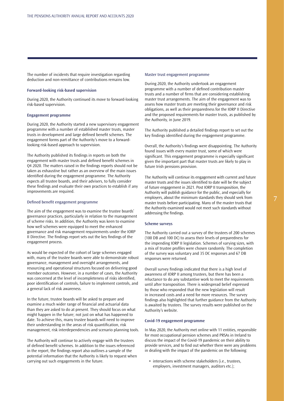The number of incidents that require investigation regarding deduction and non-remittance of contributions remains low.

### **Forward-looking risk-based supervision**

During 2020, the Authority continued its move to forward-looking risk-based supervision.

#### **Engagement programme**

During 2020, the Authority started a new supervisory engagement programme with a number of established master trusts, master trusts in development and large defined benefit schemes. The engagement forms part of the Authority's move to a forwardlooking risk-based approach to supervision.

The Authority published its findings in reports on both the engagement with master trusts and defined benefit schemes in Q4 2020. The matters raised in the findings reports should not be taken as exhaustive but rather as an overview of the main issues identified during the engagement programme. The Authority expects all trustee boards, and their advisers, to fully consider these findings and evaluate their own practices to establish if any improvements are required.

### Defined benefit engagement programme

The aim of the engagement was to examine the trustee boards' governance practices, particularly in relation to the management of scheme risks. In addition, the Authority was keen to examine how well schemes were equipped to meet the enhanced governance and risk management requirements under the IORP II Directive. The findings report sets out the key findings of the engagement process.

As would be expected of the cohort of large schemes engaged with, many of the trustee boards were able to demonstrate robust governance, management and oversight arrangements, and resourcing and operational structures focused on delivering good member outcomes. However, in a number of cases, the Authority was concerned at the level of incompleteness of risks identified, poor identification of controls, failure to implement controls, and a general lack of risk awareness.

In the future, trustee boards will be asked to prepare and examine a much wider range of financial and actuarial data than they are asked to do at present. They should focus on what might happen in the future; not just on what has happened to date. To achieve this, many trustee boards will need to improve their understanding in the areas of risk quantification, risk management, risk interdependencies and scenario planning tools.

The Authority will continue to actively engage with the trustees of defined benefit schemes. In addition to the issues referenced in the report, the findings report also outlines a sample of the potential information that the Authority is likely to request when carrying out such engagements in the future.

#### Master trust engagement programme

During 2020, the Authority undertook an engagement programme with a number of defined contribution master trusts and a number of firms that are considering establishing master trust arrangements. The aim of the engagement was to assess how master trusts are meeting their governance and risk obligations, as well as their preparedness for the IORP II Directive and the proposed requirements for master trusts, as published by the Authority, in June 2019.

The Authority published a detailed findings report to set out the key findings identified during the engagement programme.

Overall, the Authority's findings were disappointing. The Authority found issues with every master trust, some of which were significant. This engagement programme is especially significant given the important part that master trusts are likely to play in future Irish pensions provision.

The Authority will continue its engagement with current and future master trusts and the issues identified to date will be the subject of future engagement in 2021. Post IORP II transposition, the Authority will publish guidance for the public, and especially for employers, about the minimum standards they should seek from master trusts before participating. Many of the master trusts that the Authority examined would not meet such standards without addressing the findings.

# **Scheme surveys**

The Authority carried out a survey of the trustees of 200 schemes (100 DB and 100 DC) to assess their levels of preparedness for the impending IORP II legislation. Schemes of varying sizes, with a mix of trustee profiles were chosen randomly. The completion of the survey was voluntary and 35 DC responses and 67 DB responses were returned.

Overall survey findings indicated that there is a high level of awareness of IORP II among trustees, but there has been a reluctance to do any substantive work to meet the requirements until after transposition. There is widespread belief expressed by those who responded that the new legislation will result in increased costs and a need for more resources. The survey findings also highlighted that further guidance from the Authority is awaited by trustees. The survey results were published on the Authority's website.

#### **Covid-19 engagement programme**

In May 2020, the Authority met online with 11 entities, responsible for most occupational pension schemes and PRSAs in Ireland to discuss the impact of the Covid-19 pandemic on their ability to provide services, and to find out whether there were any problems in dealing with the impact of the pandemic on the following:

• interactions with scheme stakeholders (i.e., trustees, employers, investment managers, auditors etc.);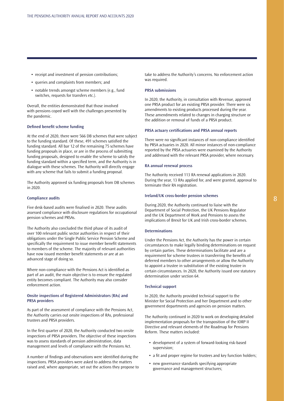- receipt and investment of pension contributions;
- queries and complaints from members; and
- notable trends amongst scheme members (e.g., fund switches, requests for transfers etc.).

Overall, the entities demonstrated that those involved with pensions coped well with the challenges presented by the pandemic.

#### **Defined benefit scheme funding**

At the end of 2020, there were 566 DB schemes that were subject to the funding standard. Of these, 491 schemes satisfied the funding standard. All bar 12 of the remaining 75 schemes have funding proposals in place, or are in the process of submitting funding proposals, designed to enable the scheme to satisfy the funding standard within a specified term, and the Authority is in dialogue with these schemes. The Authority will directly engage with any scheme that fails to submit a funding proposal.

The Authority approved six funding proposals from DB schemes in 2020.

#### **Compliance audits**

Five desk-based audits were finalised in 2020. These audits assessed compliance with disclosure regulations for occupational pension schemes and PRSAs.

The Authority also concluded the third phase of its audit of over 100 relevant public sector authorities in respect of their obligations under the Single Public Service Pension Scheme and specifically the requirement to issue member benefit statements to members of the scheme. The majority of relevant authorities have now issued member benefit statements or are at an advanced stage of doing so.

Where non-compliance with the Pensions Act is identified as part of an audit, the main objective is to ensure the regulated entity becomes compliant. The Authority may also consider enforcement action.

## **Onsite inspections of Registered Administrators (RAs) and PRSA providers**

As part of the assessment of compliance with the Pensions Act, the Authority carries out onsite inspections of RAs, professional trustees and PRSA providers.

In the first quarter of 2020, the Authority conducted two onsite inspections of PRSA providers. The objective of these inspections was to assess standards of pension administration, data management and levels of compliance with the Pensions Act.

A number of findings and observations were identified during the inspections. PRSA providers were asked to address the matters raised and, where appropriate, set out the actions they propose to

take to address the Authority's concerns. No enforcement action was required.

#### **PRSA submissions**

In 2020, the Authority, in consultation with Revenue, approved one PRSA product for an existing PRSA provider. There were six amendments to existing products processed during the year. These amendments related to changes in charging structure or the addition or removal of funds of a PRSA product.

#### **PRSA actuary certifications and PRSA annual reports**

There were no significant instances of non-compliance identified by PRSA actuaries in 2020. All minor instances of non-compliance reported by the PRSA actuaries were examined by the Authority and addressed with the relevant PRSA provider, where necessary.

#### **RA annual renewal process**

The Authority received 113 RA renewal applications in 2020. During the year, 13 RAs applied for, and were granted, approval to terminate their RA registration.

#### **Ireland/UK cross-border pension schemes**

During 2020, the Authority continued to liaise with the Department of Social Protection, the UK Pensions Regulator and the UK Department of Work and Pensions to assess the implications of Brexit for UK and Irish cross-border schemes.

### **Determinations**

Under the Pensions Act, the Authority has the power in certain circumstances to make legally binding determinations on request by certain parties. These determinations facilitate and are a requirement for scheme trustees in transferring the benefits of deferred members to other arrangements or allow the Authority to appoint a trustee in substitution of the existing trustee in certain circumstances. In 2020, the Authority issued one statutory determination under section 64.

#### **Technical support**

In 2020, the Authority provided technical support to the Minister for Social Protection and her Department and to other government departments and agencies on pension matters.

The Authority continued in 2020 to work on developing detailed implementation proposals for the transposition of the IORP II Directive and relevant elements of the Roadmap for Pensions Reform. These matters included:

- development of a system of forward-looking risk-based supervision;
- a fit and proper regime for trustees and key function holders;
- new governance standards specifying appropriate governance and management structures;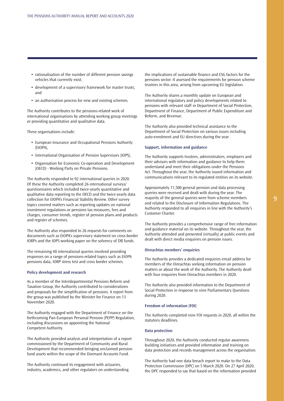- rationalisation of the number of different pension savings vehicles that currently exist;
- development of a supervisory framework for master trusts; and
- an authorisation process for new and existing schemes.

The Authority contributes to the pensions-related work of international organisations by attending working group meetings or providing quantitative and qualitative data.

These organisations include:

- European Insurance and Occupational Pensions Authority (EIOPA),
- International Organisation of Pension Supervisors (IOPS),
- Organisation for Economic Co-operation and Development (OECD) - Working Party on Private Pensions.

The Authority responded to 92 international queries in 2020. Of these the Authority completed 26 international surveys/ questionnaires which included twice-yearly quantitative and qualitative data reporting to the OECD and the twice-yearly data collection for EIOPA's Financial Stability Review. Other survey topics covered matters such as reporting updates on national investment regulations or pensions tax measures, fees and charges, consumer trends, register of pension plans and products and register of schemes.

The Authority also responded to 26 requests for comments on documents such as EIOPA's supervisory statement on cross-border IORPs and the IOPS working paper on the solvency of DB funds.

The remaining 40 international queries involved providing responses on a range of pensions-related topics such as EIOPA pensions data, IORP stress test and cross border schemes.

#### **Policy development and research**

As a member of the Interdepartmental Pensions Reform and Taxation Group, the Authority contributed to considerations and proposals for the simplification of pensions. A report from the group was published by the Minister for Finance on 13 November 2020.

The Authority engaged with the Department of Finance on the forthcoming Pan-European Personal Pension (PEPP) Regulation, including discussions on appointing the National Competent Authority.

The Authority provided analysis and interpretation of a report commissioned by the Department of Community and Rural Development that recommended bringing unclaimed pension fund assets within the scope of the Dormant Accounts Fund.

The Authority continued its engagement with actuaries, industry, academics, and other regulators on understanding

the implications of sustainable finance and ESG factors for the pensions sector. It assessed the requirements for pension scheme trustees in this area, arising from upcoming EU legislation.

The Authority shares a monthly update on European and international regulatory and policy developments related to pensions with relevant staff in Department of Social Protection, Department of Finance, Department of Public Expenditure and Reform, and Revenue.

The Authority also provided technical assistance to the Department of Social Protection on various issues including auto-enrolment and EU directives during the year.

#### **Support, information and guidance**

The Authority supports trustees, administrators, employers and their advisors with information and guidance to help them understand and meet their obligations under the Pensions Act. Throughout the year, the Authority issued information and communications relevant to its regulated entities on its website.

Approximately 11,500 general pension and data processing queries were received and dealt with during the year. The majority of the general queries were from scheme members and related to the Disclosure of Information Regulations. The Authority responded to all enquiries in line with the Authority's Customer Charter.

The Authority provides a comprehensive range of free information and guidance material on its website. Throughout the year, the Authority attended and presented (virtually) at public events and dealt with direct media enquiries on pension issues.

#### **Oireachtas members' enquiries**

The Authority provides a dedicated enquiries email address for members of the Oireachtas seeking information on pension matters or about the work of the Authority. The Authority dealt with four enquiries from Oireachtas members in 2020.

The Authority also provided information to the Department of Social Protection in response to nine Parliamentary Questions during 2020.

### **Freedom of information (FOI)**

The Authority completed nine FOI requests in 2020, all within the statutory deadlines.

#### **Data protection**

Throughout 2020, the Authority conducted regular awareness building initiatives and provided information and training on data protection and records management across the organisation.

The Authority had one data breach report to make to the Data Protection Commission (DPC) on 5 March 2020. On 27 April 2020, the DPC responded to say that based on the information provided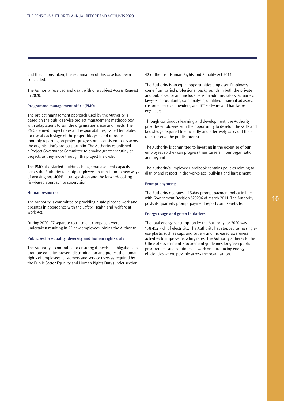and the actions taken, the examination of this case had been concluded.

The Authority received and dealt with one Subject Access Request in 2020.

# **Programme management office (PMO)**

The project management approach used by the Authority is based on the public service project management methodology with adaptations to suit the organisation's size and needs. The PMO defined project roles and responsibilities, issued templates for use at each stage of the project lifecycle and introduced monthly reporting on project progress on a consistent basis across the organisation's project portfolio. The Authority established a Project Governance Committee to provide greater scrutiny of projects as they move through the project life cycle.

The PMO also started building change management capacity across the Authority to equip employees to transition to new ways of working post-IORP II transposition and the forward-looking risk-based approach to supervision.

### **Human resources**

The Authority is committed to providing a safe place to work and operates in accordance with the Safety, Health and Welfare at Work Act.

During 2020, 27 separate recruitment campaigns were undertaken resulting in 22 new employees joining the Authority.

### **Public sector equality, diversity and human rights duty**

The Authority is committed to ensuring it meets its obligations to promote equality, prevent discrimination and protect the human rights of employees, customers and service users as required by the Public Sector Equality and Human Rights Duty (under section 42 of the Irish Human Rights and Equality Act 2014).

The Authority is an equal opportunities employer. Employees come from varied professional backgrounds in both the private and public sector and include pension administrators, actuaries, lawyers, accountants, data analysts, qualified financial advisors, customer service providers, and ICT software and hardware engineers.

Through continuous learning and development, the Authority provides employees with the opportunity to develop the skills and knowledge required to efficiently and effectively carry out their roles to serve the public interest.

The Authority is committed to investing in the expertise of our employees so they can progress their careers in our organisation and beyond.

The Authority's Employee Handbook contains policies relating to dignity and respect in the workplace, bullying and harassment.

#### **Prompt payments**

The Authority operates a 15-day prompt payment policy in line with Government Decision S29296 of March 2011. The Authority posts its quarterly prompt payment reports on its website.

#### **Energy usage and green initiatives**

The total energy consumption by the Authority for 2020 was 178,452 kwh of electricity. The Authority has stopped using singleuse plastic such as cups and cutlery and increased awareness activities to improve recycling rates. The Authority adheres to the Office of Government Procurement guidelines for green public procurement and continues to work on introducing energy efficiencies where possible across the organisation.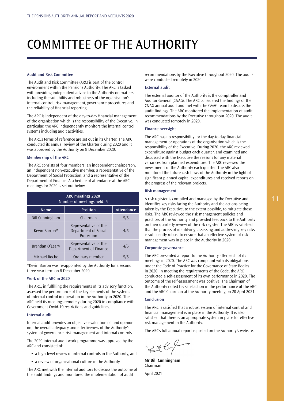# <span id="page-11-0"></span>COMMITTEE OF THE AUTHORITY

#### **Audit and Risk Committee**

The Audit and Risk Committee (ARC) is part of the control environment within the Pensions Authority. The ARC is tasked with providing independent advice to the Authority on matters including the suitability and robustness of the organisation's internal control, risk management, governance procedures and the reliability of financial reporting.

The ARC is independent of the day-to-day financial management of the organisation which is the responsibility of the Executive. In particular, the ARC independently monitors the internal control systems including audit activities.

The ARC's terms of reference are set out in its Charter. The ARC conducted its annual review of the Charter during 2020 and it was approved by the Authority on 8 December 2020.

#### **Membership of the ARC**

The ARC consists of four members: an independent chairperson, an independent non-executive member, a representative of the Department of Social Protection, and a representative of the Department of Finance. A schedule of attendance at the ARC meetings for 2020 is set out below.

| <b>ARC meetings 2020</b><br>Number of meetings held: 5 |                                                             |     |  |
|--------------------------------------------------------|-------------------------------------------------------------|-----|--|
| <b>Position</b><br><b>Attendance</b><br><b>Name</b>    |                                                             |     |  |
| <b>Bill Cunningham</b>                                 | Chairman                                                    | 5/5 |  |
| Kevin Barron*                                          | Representative of the<br>Department of Social<br>Protection | 4/5 |  |
| Brendan O'Leary                                        | Representative of the<br>Department of Finance              | 4/5 |  |
| Michael Roche                                          | Ordinary member                                             | 5/5 |  |

\*Kevin Barron was re-appointed by the Authority for a second three-year term on 8 December 2020.

# **Work of the ARC in 2020**

The ARC, in fulfilling the requirements of its advisory function, assessed the performance of the key elements of the systems of internal control in operation in the Authority in 2020. The ARC held its meetings remotely during 2020 in compliance with Government Covid-19 restrictions and guidelines.

### **Internal audit**

Internal audit provides an objective evaluation of, and opinion on, the overall adequacy and effectiveness of the Authority's system of governance, risk management and internal controls.

The 2020 internal audit work programme was approved by the ARC and consisted of:

- a high-level review of internal controls in the Authority, and
- a review of organisational culture in the Authority.

The ARC met with the internal auditors to discuss the outcome of the audit findings and monitored the implementation of audit

recommendations by the Executive throughout 2020. The audits were conducted remotely in 2020.

# **External audit**

The external auditor of the Authority is the Comptroller and Auditor General (C&AG). The ARC considered the findings of the C&AG annual audit and met with the C&AG team to discuss the audit findings. The ARC monitored the implementation of audit recommendations by the Executive throughout 2020. The audit was conducted remotely in 2020.

# **Finance oversight**

The ARC has no responsibility for the day-to-day financial management or operations of the organisation which is the responsibility of the Executive. During 2020, the ARC reviewed expenditure against budget each quarter, and examined and discussed with the Executive the reasons for any material variances from planned expenditure. The ARC reviewed the investments of the Authority each quarter. The ARC also monitored the future cash flows of the Authority in the light of significant planned capital expenditures and received reports on the progress of the relevant projects.

# **Risk management**

A risk register is compiled and managed by the Executive and identifies key risks facing the Authority and the actions being taken by the Executive, to the extent possible, to mitigate those risks. The ARC reviewed the risk management policies and practices of the Authority and provided feedback to the Authority on their quarterly review of the risk register. The ARC is satisfied that the process of identifying, assessing and addressing key risks is sufficiently robust to ensure that an effective system of risk management was in place in the Authority in 2020.

### **Corporate governance**

The ARC presented a report to the Authority after each of its meetings in 2020. The ARC was compliant with its obligations under the Code of Practice for the Governance of State Bodies in 2020. In meeting the requirements of the Code, the ARC conducted a self-assessment of its own performance in 2020. The outcome of the self-assessment was positive. The Chairman of the Authority noted his satisfaction in the performance of the ARC and the ARC Chairman at the Authority meeting on 20 April 2021.

### **Conclusion**

The ARC is satisfied that a robust system of internal control and financial management is in place in the Authority. It is also satisfied that there is an appropriate system in place for effective risk management in the Authority.

The ARC's full annual report is posted on the Authority's website.

Belly

**Mr Bill Cunningham** Chairman April 2021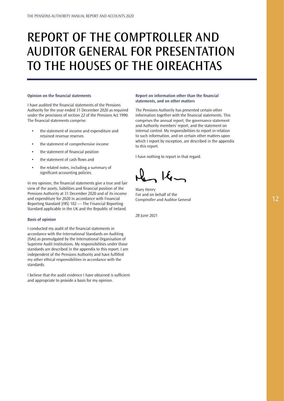# <span id="page-12-0"></span>REPORT OF THE COMPTROLLER AND AUDITOR GENERAL FOR PRESENTATION TO THE HOUSES OF THE OIREACHTAS

#### **Opinion on the financial statements**

I have audited the financial statements of the Pensions Authority for the year ended 31 December 2020 as required under the provisions of section 22 of the Pensions Act 1990. The financial statements comprise:

- the statement of income and expenditure and retained revenue reserves
- the statement of comprehensive income
- the statement of financial position
- the statement of cash flows and
- the related notes, including a summary of significant accounting policies.

In my opinion, the financial statements give a true and fair view of the assets, liabilities and financial position of the Pensions Authority at 31 December 2020 and of its income and expenditure for 2020 in accordance with Financial Reporting Standard (FRS) 102 — The Financial Reporting Standard applicable in the UK and the Republic of Ireland.

### **Basis of opinion**

I conducted my audit of the financial statements in accordance with the International Standards on Auditing (ISAs) as promulgated by the International Organisation of Supreme Audit Institutions. My responsibilities under those standards are described in the appendix to this report. I am independent of the Pensions Authority and have fulfilled my other ethical responsibilities in accordance with the standards.

I believe that the audit evidence I have obtained is sufficient and appropriate to provide a basis for my opinion.

# **Report on information other than the financial statements, and on other matters**

The Pensions Authority has presented certain other information together with the financial statements. This comprises the annual report, the governance statement and Authority members' report, and the statement on internal control. My responsibilities to report in relation to such information, and on certain other matters upon which I report by exception, are described in the appendix to this report.

I have nothing to report in that regard.

Mary Henry For and on behalf of the Comptroller and Auditor General

28 June 2021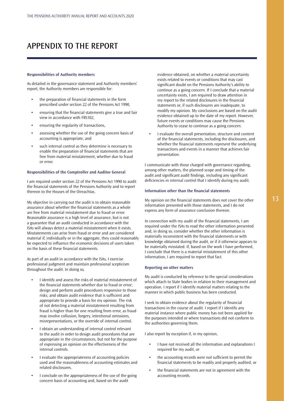# APPENDIX TO THE REPORT

#### **Responsibilities of Authority members**

As detailed in the governance statement and Authority members' report, the Authority members are responsible for:

- the preparation of financial statements in the form prescribed under section 22 of the Pensions Act 1990,
- ensuring that the financial statements give a true and fair view in accordance with FRS102,
- ensuring the regularity of transactions,
- assessing whether the use of the going concern basis of accounting is appropriate, and
- such internal control as they determine is necessary to enable the preparation of financial statements that are free from material misstatement, whether due to fraud or error.

#### **Responsibilities of the Comptroller and Auditor General**

I am required under section 22 of the Pensions Act 1990 to audit the financial statements of the Pensions Authority and to report thereon to the Houses of the Oireachtas.

My objective in carrying out the audit is to obtain reasonable assurance about whether the financial statements as a whole are free from material misstatement due to fraud or error. Reasonable assurance is a high level of assurance, but is not a guarantee that an audit conducted in accordance with the ISAs will always detect a material misstatement when it exists. Misstatements can arise from fraud or error and are considered material if, individually or in the aggregate, they could reasonably be expected to influence the economic decisions of users taken on the basis of these financial statements.

As part of an audit in accordance with the ISAs, I exercise professional judgment and maintain professional scepticism throughout the audit. In doing so,

- I identify and assess the risks of material misstatement of the financial statements whether due to fraud or error; design and perform audit procedures responsive to those risks; and obtain audit evidence that is sufficient and appropriate to provide a basis for my opinion. The risk of not detecting a material misstatement resulting from fraud is higher than for one resulting from error, as fraud may involve collusion, forgery, intentional omissions, misrepresentations, or the override of internal control.
- I obtain an understanding of internal control relevant to the audit in order to design audit procedures that are appropriate in the circumstances, but not for the purpose of expressing an opinion on the effectiveness of the internal controls.
- I evaluate the appropriateness of accounting policies used and the reasonableness of accounting estimates and related disclosures.
- I conclude on the appropriateness of the use of the going concern basis of accounting and, based on the audit

evidence obtained, on whether a material uncertainty exists related to events or conditions that may cast significant doubt on the Pensions Authority's ability to continue as a going concern. If I conclude that a material uncertainty exists, I am required to draw attention in my report to the related disclosures in the financial statements or, if such disclosures are inadequate, to modify my opinion. My conclusions are based on the audit evidence obtained up to the date of my report. However, future events or conditions may cause the Pensions Authority to cease to continue as a going concern.

• I evaluate the overall presentation, structure and content of the financial statements, including the disclosures, and whether the financial statements represent the underlying transactions and events in a manner that achieves fair presentation.

I communicate with those charged with governance regarding, among other matters, the planned scope and timing of the audit and significant audit findings, including any significant deficiencies in internal control that I identify during my audit.

### **Information other than the financial statements**

My opinion on the financial statements does not cover the other information presented with those statements, and I do not express any form of assurance conclusion thereon.

In connection with my audit of the financial statements, I am required under the ISAs to read the other information presented and, in doing so, consider whether the other information is materially inconsistent with the financial statements or with knowledge obtained during the audit, or if it otherwise appears to be materially misstated. If, based on the work I have performed, I conclude that there is a material misstatement of this other information, I am required to report that fact.

#### **Reporting on other matters**

My audit is conducted by reference to the special considerations which attach to State bodies in relation to their management and operation. I report if I identify material matters relating to the manner in which public business has been conducted.

I seek to obtain evidence about the regularity of financial transactions in the course of audit. I report if I identify any material instance where public money has not been applied for the purposes intended or where transactions did not conform to the authorities governing them.

I also report by exception if, in my opinion,

- I have not received all the information and explanations I required for my audit, or
- the accounting records were not sufficient to permit the financial statements to be readily and properly audited, or
- the financial statements are not in agreement with the accounting records.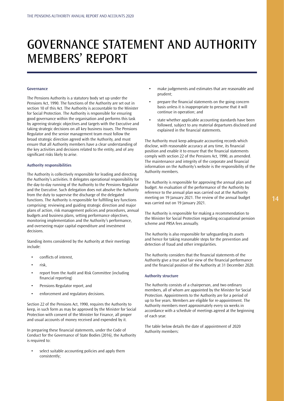# <span id="page-14-0"></span>GOVERNANCE STATEMENT AND AUTHORITY MEMBERS' REPORT

#### **Governance**

The Pensions Authority is a statutory body set up under the Pensions Act, 1990. The functions of the Authority are set out in section 10 of this Act. The Authority is accountable to the Minister for Social Protection. The Authority is responsible for ensuring good governance within the organisation and performs this task by agreeing strategic objectives and targets with the Executive and taking strategic decisions on all key business issues. The Pensions Regulator and the senior management team must follow the broad strategic direction agreed with the Authority, and must ensure that all Authority members have a clear understanding of the key activities and decisions related to the entity, and of any significant risks likely to arise.

#### **Authority responsibilities**

The Authority is collectively responsible for leading and directing the Authority's activities. It delegates operational responsibility for the day-to-day running of the Authority to the Pensions Regulator and the Executive. Such delegation does not absolve the Authority from the duty to supervise the discharge of the delegated functions. The Authority is responsible for fulfilling key functions comprising: reviewing and guiding strategic direction and major plans of action, risk management policies and procedures, annual budgets and business plans, setting performance objectives, monitoring implementation and the Authority's performance, and overseeing major capital expenditure and investment decisions.

Standing items considered by the Authority at their meetings include:

- conflicts of interest.
- risk,
- report from the Audit and Risk Committee (including financial reporting)
- Pensions Regulator report, and
- enforcement and regulatory decisions.

Section 22 of the Pensions Act, 1990, requires the Authority to keep, in such form as may be approved by the Minister for Social Protection with consent of the Minister for Finance, all proper and usual accounts of money received and expended by it.

In preparing these financial statements, under the Code of Conduct for the Governance of State Bodies (2016), the Authority is required to:

• select suitable accounting policies and apply them consistently;

- make judgements and estimates that are reasonable and prudent;
- prepare the financial statements on the going concern basis unless it is inappropriate to presume that it will continue in operation; and
- state whether applicable accounting standards have been followed, subject to any material departures disclosed and explained in the financial statements.

The Authority must keep adequate accounting records which disclose, with reasonable accuracy at any time, its financial position and enable it to ensure that the financial statements comply with section 22 of the Pensions Act, 1990, as amended. The maintenance and integrity of the corporate and financial information on the Authority's website is the responsibility of the Authority members.

The Authority is responsible for approving the annual plan and budget. An evaluation of the performance of the Authority by reference to the annual plan was carried out at the Authority meeting on 19 January 2021. The review of the annual budget was carried out on 19 January 2021.

The Authority is responsible for making a recommendation to the Minister for Social Protection regarding occupational pension scheme and PRSA fees annually.

The Authority is also responsible for safeguarding its assets and hence for taking reasonable steps for the prevention and detection of fraud and other irregularities.

The Authority considers that the financial statements of the Authority give a true and fair view of the financial performance and the financial position of the Authority at 31 December 2020.

#### **Authority structure**

The Authority consists of a chairperson, and two ordinary members, all of whom are appointed by the Minister for Social Protection. Appointments to the Authority are for a period of up to five years. Members are eligible for re-appointment. The Authority members meet approximately every six weeks in accordance with a schedule of meetings agreed at the beginning of each year.

The table below details the date of appointment of 2020 Authority members: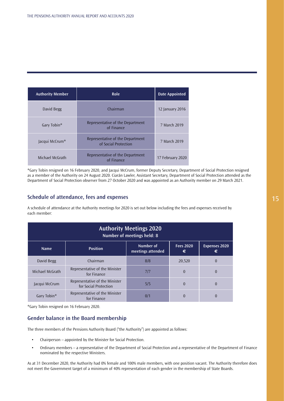| <b>Authority Member</b> | Role                                                     | <b>Date Appointed</b> |
|-------------------------|----------------------------------------------------------|-----------------------|
| David Begg              | Chairman                                                 | 12 January 2016       |
| Gary Tobin*             | Representative of the Department<br>of Finance           | 7 March 2019          |
| Jacqui McCrum*          | Representative of the Department<br>of Social Protection | 7 March 2019          |
| Michael McGrath         | Representative of the Department<br>of Finance           | 17 February 2020      |

\*Gary Tobin resigned on 16 February 2020, and Jacqui McCrum, former Deputy Secretary, Department of Social Protection resigned as a member of the Authority on 24 August 2020. Ciarán Lawler, Assistant Secretary, Department of Social Protection attended as the Department of Social Protection observer from 27 October 2020 and was appointed as an Authority member on 29 March 2021.

# **Schedule of attendance, fees and expenses**

A schedule of attendance at the Authority meetings for 2020 is set out below including the fees and expenses received by each member:

| <b>Authority Meetings 2020</b><br>Number of meetings held: 8 |                                                         |                                |                       |                           |  |
|--------------------------------------------------------------|---------------------------------------------------------|--------------------------------|-----------------------|---------------------------|--|
| <b>Name</b>                                                  | <b>Position</b>                                         | Number of<br>meetings attended | <b>Fees 2020</b><br>€ | <b>Expenses 2020</b><br>€ |  |
| David Begg                                                   | Chairman                                                | 8/8                            | 20,520                | $\Omega$                  |  |
| Michael McGrath                                              | Representative of the Minister<br>for Finance           | 7/7                            | $\theta$              | $\theta$                  |  |
| Jacqui McCrum                                                | Representative of the Minister<br>for Social Protection | 5/5                            | $\theta$              | $\theta$                  |  |
| Gary Tobin*                                                  | Representative of the Minister<br>for Finance           | 0/1                            | $\Omega$              |                           |  |

\*Gary Tobin resigned on 16 February 2020.

# **Gender balance in the Board membership**

The three members of the Pensions Authority Board ("the Authority") are appointed as follows:

- Chairperson appointed by the Minister for Social Protection.
- Ordinary members a representative of the Department of Social Protection and a representative of the Department of Finance nominated by the respective Ministers.

As at 31 December 2020, the Authority had 0% female and 100% male members, with one position vacant. The Authority therefore does not meet the Government target of a minimum of 40% representation of each gender in the membership of State Boards.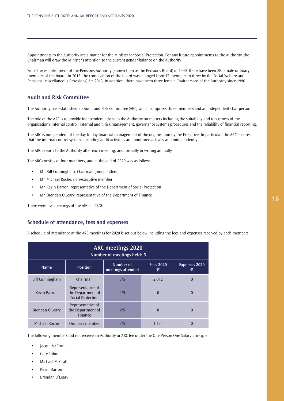Appointments to the Authority are a matter for the Minister for Social Protection. For any future appointments to the Authority, the Chairman will draw the Minister's attention to the current gender balance on the Authority.

Since the establishment of the Pensions Authority (known then as the Pensions Board) in 1990, there have been 28 female ordinary members of the board. In 2013, the composition of the board was changed from 17 members to three by the Social Welfare and Pensions (Miscellaneous Provisions) Act 2013. In addition, there have been three female Chairpersons of the Authority since 1990.

# **Audit and Risk Committee**

The Authority has established an Audit and Risk Committee (ARC) which comprises three members and an independent chairperson.

The role of the ARC is to provide independent advice to the Authority on matters including the suitability and robustness of the organisation's internal control, internal audit, risk management, governance systems procedures and the reliability of financial reporting.

The ARC is independent of the day-to-day financial management of the organisation by the Executive. In particular, the ARC ensures that the internal control systems including audit activities are monitored actively and independently.

The ARC reports to the Authority after each meeting, and formally in writing annually.

The ARC consists of four members, and at the end of 2020 was as follows:

- Mr. Bill Cunningham, Chairman (Independent)
- Mr. Michael Roche, non-executive member
- Mr. Kevin Barron, representative of the Department of Social Protection
- Mr. Brendan O'Leary, representative of the Department of Finance

There were five meetings of the ARC in 2020.

# **Schedule of attendance, fees and expenses**

A schedule of attendance at the ARC meetings for 2020 is set out below including the fees and expenses received by each member:

| <b>ARC meetings 2020</b><br>Number of meetings held: 5                                                                 |                                                             |     |          |          |  |
|------------------------------------------------------------------------------------------------------------------------|-------------------------------------------------------------|-----|----------|----------|--|
| Number of<br><b>Fees 2020</b><br><b>Expenses 2020</b><br><b>Position</b><br><b>Name</b><br>meetings attended<br>€<br>€ |                                                             |     |          |          |  |
| <b>Bill Cunningham</b>                                                                                                 | Chairman                                                    | 5/5 | 2,012    | $\theta$ |  |
| Kevin Barron                                                                                                           | Representative of<br>the Department of<br>Social Protection | 4/5 | $\theta$ | $\Omega$ |  |
| Brendan O'Leary                                                                                                        | Representative of<br>the Department of<br>Finance           | 4/5 | $\theta$ | $\theta$ |  |
| Michael Roche                                                                                                          | Ordinary member                                             | 5/5 | 1,131    | $\theta$ |  |

The following members did not receive an Authority or ARC fee under the One Person One Salary principle:

- Jacqui McCrum
- Gary Tobin
- Michael McGrath
- Kevin Barron
- Brendan O'Leary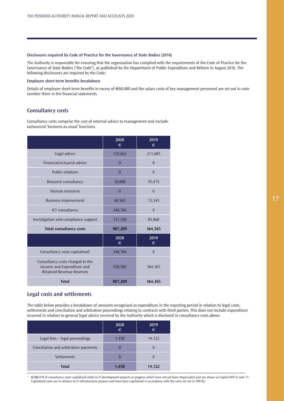# **Disclosures required by Code of Practice for the Governance of State Bodies (2016)**

The Authority is responsible for ensuring that the organisation has complied with the requirements of the Code of Practice for the Governance of State Bodies ("the Code"), as published by the Department of Public Expenditure and Reform in August 2016. The following disclosures are required by the Code:

# **Employee short-term benefits breakdown**

Details of employee short-term benefits in excess of €60,000 and the salary costs of key management personnel are set out in note number three in the financial statements.

# **Consultancy costs**

Consultancy costs comprise the cost of external advice to management and exclude outsourced 'business-as-usual' functions.

|                                                                                                    | 2020<br>€      | 2019<br>€ |
|----------------------------------------------------------------------------------------------------|----------------|-----------|
| Legal advice                                                                                       | 155,662        | 211,685   |
| Financial/actuarial advice                                                                         | $\theta$       | $\theta$  |
| <b>Public relations</b>                                                                            | $\overline{0}$ | $\theta$  |
| Research consultancy                                                                               | 30,808         | 55,475    |
| Human resources                                                                                    | $\overline{0}$ | $\theta$  |
| <b>Business improvement</b>                                                                        | 40,565         | 13,345    |
| ICT consultancy                                                                                    | 348,704        | $\theta$  |
| Investigation and compliance support                                                               | 331,550        | 83,860    |
| <b>Total consultancy costs</b>                                                                     | 907,289        | 364,365   |
|                                                                                                    | 2020<br>€      | 2019<br>€ |
| Consultancy costs capitalised <sup>1</sup>                                                         | 348,704        | $\theta$  |
| Consultancy costs charged to the<br>Income and Expenditure and<br><b>Retained Revenue Reserves</b> | 558,585        | 364,365   |
| <b>Total</b>                                                                                       | 907,289        | 364,365   |

# **Legal costs and settlements**

The table below provides a breakdown of amounts recognised as expenditure in the reporting period in relation to legal costs, settlements and conciliation and arbitration proceedings relating to contracts with third parties. This does not include expenditure incurred in relation to general legal advice received by the Authority which is disclosed in consultancy costs above.

|                                       | 2020<br>€ | 2019<br>€ |
|---------------------------------------|-----------|-----------|
| Legal fees - legal proceedings        | 1,458     | 14,122    |
| Conciliation and arbitration payments |           |           |
| Settlements                           |           |           |
| <b>Total</b>                          | 1,458     | 14,122    |

€288,479 of consultancy costs capitalised relate to IT development projects in progress which have not yet been depreciated and are shown as Capital WIP in note 11. Capitalised costs are in relation to IT infrastructure projects and have been capitalised in accordance with the rules set out in FRS102.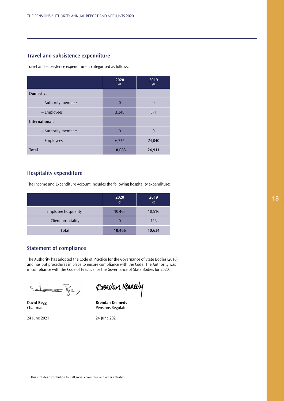# **Travel and subsistence expenditure**

Travel and subsistence expenditure is categorised as follows:

|                     | 2020<br>€ | 2019<br>€ |
|---------------------|-----------|-----------|
| Domestic:           |           |           |
| - Authority members | $\theta$  | $\theta$  |
| - Employees         | 3,348     | 871       |
| International:      |           |           |
| - Authority members | $\Omega$  | $\theta$  |
| - Employees         | 6,735     | 24,040    |
| <b>Total</b>        | 10,083    | 24,911    |

# **Hospitality expenditure**

The Income and Expenditure Account includes the following hospitality expenditure:

|                                   | 2020<br>$\epsilon$ | 2019<br>$\in$ |
|-----------------------------------|--------------------|---------------|
| Employee hospitality <sup>2</sup> | 10,466             | 10,516        |
| Client hospitality                |                    | 118           |
| <b>Total</b>                      | 10,466             | 10,634        |

# **Statement of compliance**

The Authority has adopted the Code of Practice for the Governance of State Bodies (2016) and has put procedures in place to ensure compliance with the Code. The Authority was in compliance with the Code of Practice for the Governance of State Bodies for 2020.

24 June 2021 24 June 2021

Brenclan Kennedy

**David Begg Strategies Strategies Brendan Kennedy<br>
Chairman Strategies Strategies Brensions Regulator** Pensions Regulator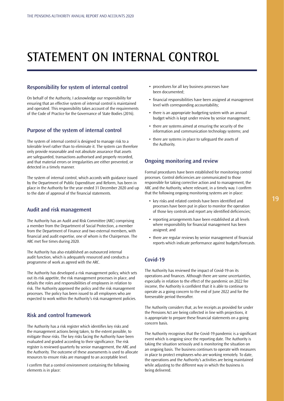# <span id="page-19-0"></span>STATEMENT ON INTERNAL CONTROL

# **Responsibility for system of internal control**

On behalf of the Authority, I acknowledge our responsibility for ensuring that an effective system of internal control is maintained and operated. This responsibility takes account of the requirements of the Code of Practice for the Governance of State Bodies (2016).

# **Purpose of the system of internal control**

The system of internal control is designed to manage risk to a tolerable level rather than to eliminate it. The system can therefore only provide reasonable and not absolute assurance that assets are safeguarded, transactions authorised and properly recorded, and that material errors or irregularities are either prevented, or detected in a timely manner.

The system of internal control, which accords with guidance issued by the Department of Public Expenditure and Reform, has been in place in the Authority for the year ended 31 December 2020 and up to the date of approval of the financial statements.

# **Audit and risk management**

The Authority has an Audit and Risk Committee (ARC) comprising a member from the Department of Social Protection, a member from the Department of Finance and two external members, with financial and audit expertise, one of whom is the Chairperson. The ARC met five times during 2020.

The Authority has also established an outsourced internal audit function, which is adequately resourced and conducts a programme of work as agreed with the ARC.

The Authority has developed a risk management policy, which sets out its risk appetite, the risk management processes in place, and details the roles and responsibilities of employees in relation to risk. The Authority approved the policy and the risk management processes. The policy has been issued to all employees who are expected to work within the Authority's risk management policies.

# **Risk and control framework**

The Authority has a risk register which identifies key risks and the management actions being taken, to the extent possible, to mitigate those risks. The key risks facing the Authority have been evaluated and graded according to their significance. The risk register is reviewed quarterly by senior management, the ARC and the Authority. The outcome of these assessments is used to allocate resources to ensure risks are managed to an acceptable level.

I confirm that a control environment containing the following elements is in place:

- procedures for all key business processes have been documented;
- financial responsibilities have been assigned at management level with corresponding accountability;
- there is an appropriate budgeting system with an annual budget which is kept under review by senior management;
- there are systems aimed at ensuring the security of the information and communication technology systems; and
- there are systems in place to safeguard the assets of the Authority.

# **Ongoing monitoring and review**

Formal procedures have been established for monitoring control processes. Control deficiencies are communicated to those responsible for taking corrective action and to management, the ARC and the Authority, where relevant, in a timely way. I confirm that the following ongoing monitoring systems are in place:

- key risks and related controls have been identified and processes have been put in place to monitor the operation of those key controls and report any identified deficiencies;
- reporting arrangements have been established at all levels where responsibility for financial management has been assigned; and
- there are regular reviews by senior management of financial reports which indicate performance against budgets/forecasts.

# **Covid-19**

The Authority has reviewed the impact of Covid-19 on its operations and finances. Although there are some uncertainties, especially in relation to the effect of the pandemic on 2022 fee income, the Authority is confident that it is able to continue to operate as a going concern to the end of June 2022 and for the foreseeable period thereafter.

The Authority considers that, as fee receipts as provided for under the Pensions Act are being collected in line with projections, it is appropriate to prepare these financial statements on a going concern basis.

The Authority recognises that the Covid-19 pandemic is a significant event which is ongoing since the reporting date. The Authority is taking the situation seriously and is monitoring the situation on an ongoing basis. The business continues to operate with measures in place to protect employees who are working remotely. To date, the operations and the Authority's activities are being maintained while adjusting to the different way in which the business is being delivered.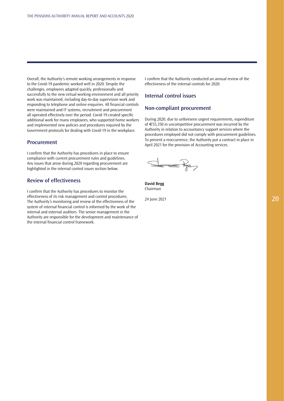Overall, the Authority's remote working arrangements in response to the Covid-19 pandemic worked well in 2020. Despite the challenges, employees adapted quickly, professionally and successfully to the new virtual working environment and all priority work was maintained, including day-to-day supervision work and responding to telephone and online enquiries. All financial controls were maintained and IT systems, recruitment and procurement all operated effectively over the period. Covid-19 created specific additional work for many employees, who supported home workers and implemented new policies and procedures required by the Government protocols for dealing with Covid-19 in the workplace.

# **Procurement**

I confirm that the Authority has procedures in place to ensure compliance with current procurement rules and guidelines. Any issues that arose during 2020 regarding procurement are highlighted in the internal control issues section below.

# **Review of effectiveness**

I confirm that the Authority has procedures to monitor the effectiveness of its risk management and control procedures. The Authority's monitoring and review of the effectiveness of the system of internal financial control is informed by the work of the internal and external auditors. The senior management in the Authority are responsible for the development and maintenance of the internal financial control framework.

I confirm that the Authority conducted an annual review of the effectiveness of the internal controls for 2020.

# **Internal control issues**

# **Non-compliant procurement**

During 2020, due to unforeseen urgent requirements, expenditure of €55,350 in uncompetitive procurement was incurred by the Authority in relation to accountancy support services where the procedures employed did not comply with procurement guidelines. To prevent a reoccurrence, the Authority put a contract in place in April 2021 for the provision of Accounting services.

 $\triangle$ 

**David Begg** Chairman

24 June 2021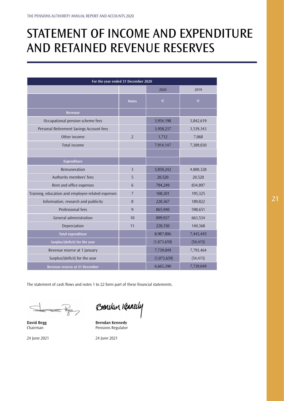# <span id="page-21-0"></span>STATEMENT OF INCOME AND EXPENDITURE AND RETAINED REVENUE RESERVES

| For the year ended 31 December 2020               |                |             |           |  |
|---------------------------------------------------|----------------|-------------|-----------|--|
|                                                   |                | 2020        | 2019      |  |
|                                                   | <b>Notes</b>   | €           | $\in$     |  |
| Revenue                                           |                |             |           |  |
| Occupational pension scheme fees                  |                | 3,954,198   | 3,842,619 |  |
| Personal Retirement Savings Account fees          |                | 3,958,237   | 3,539,343 |  |
| Other income                                      | $\overline{2}$ | 1,712       | 7,068     |  |
| Total income                                      |                | 7,914,147   | 7,389,030 |  |
|                                                   |                |             |           |  |
| Expenditure                                       |                |             |           |  |
| Remuneration                                      | $\overline{3}$ | 5,850,242   | 4,800,328 |  |
| Authority members' fees                           | 5              | 20,520      | 20,520    |  |
| Rent and office expenses                          | 6              | 794,249     | 834,897   |  |
| Training, education and employee-related expenses | $\overline{7}$ | 108,201     | 195,325   |  |
| Information, research and publicity               | 8              | 220,367     | 189,822   |  |
| Professional fees                                 | 9              | 865,940     | 598,651   |  |
| General administration                            | 10             | 899,937     | 663,534   |  |
| Depreciation                                      | 11             | 228,350     | 140,368   |  |
| <b>Total expenditure</b>                          |                | 8,987,806   | 7,443,445 |  |
| Surplus/(deficit) for the year                    |                | (1,073,659) | (54, 415) |  |
| Revenue reserve at 1 January                      |                | 7,739,049   | 7,793,464 |  |
| Surplus/(deficit) for the year                    |                | (1,073,659) | (54, 415) |  |
| Revenue reserve at 31 December                    |                | 6,665,390   | 7,739,049 |  |

The statement of cash flows and notes 1 to 22 form part of these financial statements.

 $=$  $\frac{1}{2}$ 

Brencken Kannedy

**David Begg Strates Brendan Kennedy<br>
Chairman Strates Brendan Kennedy<br>
Pensions Regulator** Pensions Regulator

24 June 2021 24 June 2021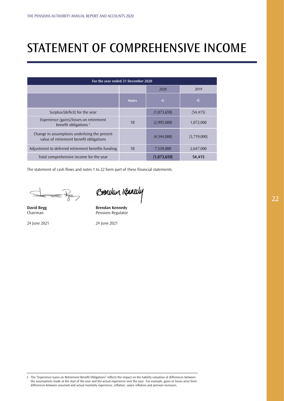# <span id="page-22-0"></span>STATEMENT OF COMPREHENSIVE INCOME

| For the year ended 31 December 2020                                                     |              |             |             |  |
|-----------------------------------------------------------------------------------------|--------------|-------------|-------------|--|
|                                                                                         |              | 2020        | 2019        |  |
|                                                                                         | <b>Notes</b> | €           | €           |  |
| Surplus/(deficit) for the year                                                          |              | (1,073,659) | (54, 415)   |  |
| Experience (gains)/losses on retirement<br>benefit obligations <sup>3</sup>             | 18           | (2,995,000) | 1,072,000   |  |
| Change in assumptions underlying the present<br>value of retirement benefit obligations |              | (4,544,000) | (3,719,000) |  |
| Adjustment to deferred retirement benefits funding                                      | 18           | 7,539,000   | 2,647,000   |  |
| Total comprehensive income for the year                                                 |              | (1,073,659) | 54,415      |  |

The statement of cash flows and notes 1 to 22 form part of these financial statements.

 $=k<sub>z</sub>$ 

24 June 2021 24 June 2021

Brencken Kannedy

**David Begg Strates Brendan Kennedy<br>
Chairman Strates Brendan Regulator** Pensions Regulator

3 The "Experience Gains on Retirement Benefit Obligations" reflects the impact on the liability valuation of differences between the assumptions made at the start of the year and the actual experience over the year. For example, gains or losses arise from differences between assumed and actual mortality experience, inflation, salary inflation and pension increases.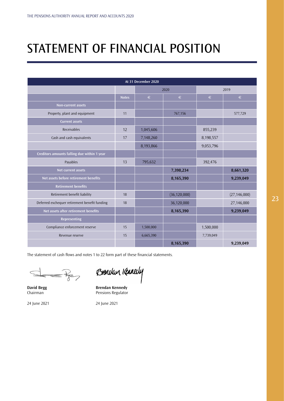# <span id="page-23-0"></span>STATEMENT OF FINANCIAL POSITION

| At 31 December 2020                           |              |           |                |           |                |
|-----------------------------------------------|--------------|-----------|----------------|-----------|----------------|
|                                               |              | 2020      |                | 2019      |                |
|                                               | <b>Notes</b> | $\in$     | €              | €         | $\in$          |
| Non-current assets                            |              |           |                |           |                |
| Property, plant and equipment                 | 11           |           | 767,156        |           | 577,729        |
| <b>Current assets</b>                         |              |           |                |           |                |
| Receivables                                   | 12           | 1,045,606 |                | 855,239   |                |
| Cash and cash equivalents                     | 17           | 7,148,260 |                | 8,198,557 |                |
|                                               |              | 8,193,866 |                | 9,053,796 |                |
| Creditors amounts falling due within 1 year   |              |           |                |           |                |
| Payables                                      | 13           | 795,632   |                | 392,476   |                |
| Net current assets                            |              |           | 7,398,234      |           | 8,661,320      |
| Net assets before retirement benefits         |              |           | 8,165,390      |           | 9,239,049      |
| <b>Retirement benefits</b>                    |              |           |                |           |                |
| Retirement benefit liability                  | 18           |           | (36, 120, 000) |           | (27, 146, 000) |
| Deferred exchequer retirement benefit funding | 18           |           | 36,120,000     |           | 27,146,000     |
| Net assets after retirement benefits          |              |           | 8,165,390      |           | 9,239,049      |
| Representing                                  |              |           |                |           |                |
| Compliance enforcement reserve                | 15           | 1,500,000 |                | 1,500,000 |                |
| Revenue reserve                               | 15           | 6,665,390 |                | 7,739,049 |                |
|                                               |              |           | 8,165,390      |           | 9,239,049      |

The statement of cash flows and notes 1 to 22 form part of these financial statements.

 $=$  $\frac{1}{2}$ 

24 June 2021 24 June 2021

Brencken Kanaly

**David Begg Strategies Brendan Kennedy** Chairman **Pensions Regulator**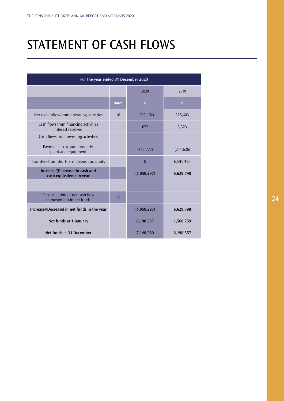# <span id="page-24-0"></span>STATEMENT OF CASH FLOWS

| For the year ended 31 December 2020                         |              |                |            |
|-------------------------------------------------------------|--------------|----------------|------------|
|                                                             |              | 2020           | 2019       |
|                                                             | <b>Notes</b> | €              | €          |
| Net cash inflow from operating activities                   | 16           | (633, 192)     | 325,603    |
| Cash flows from financing activities<br>Interest received   |              | 672            | 3,323      |
| Cash flows from investing activities                        |              |                |            |
| Payments to acquire property,<br>plant and equipment        |              | (417, 777)     | (244, 626) |
| Transfers from short-term deposit accounts                  |              | $\overline{0}$ | 6,545,498  |
| Increase/(Decrease) in cash and<br>cash equivalents in year |              | (1,050,297)    | 6,629,798  |
|                                                             |              |                |            |
| Reconciliation of net cash flow<br>to movement in net funds | 17           |                |            |
| Increase/(Decrease) in net funds in the year                |              | (1,050,297)    | 6,629,798  |
| Net funds at 1 January                                      |              | 8,198,557      | 1,568,759  |
| Net funds at 31 December                                    |              | 7,148,260      | 8,198,557  |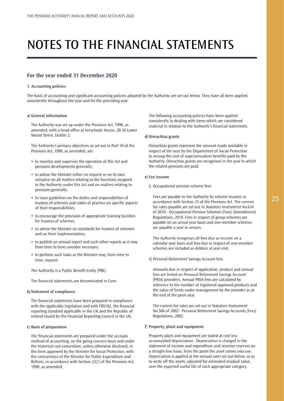# <span id="page-25-0"></span>NOTES TO THE FINANCIAL STATEMENTS

# **For the year ended 31 December 2020**

#### **1. Accounting policies**

The basis of accounting and significant accounting policies adopted by the Authority are set out below. They have all been applied consistently throughout the year and for the preceding year.

#### **a) General information**

The Authority was set up under the Pensions Act, 1990, as amended, with a head office at Verschoyle House, 28-30 Lower Mount Street, Dublin 2.

The Authority's primary objectives as set out in Part 10 of the Pensions Act, 1990, as amended, are:

- to monitor and supervise the operation of this Act and pensions developments generally;
- to advise the Minister either on request or on its own initiative on all matters relating to the functions assigned to the Authority under this Act and on matters relating to pensions generally;
- to issue guidelines on the duties and responsibilities of trustees of schemes and codes of practice on specific aspects of their responsibilities;
- to encourage the provision of appropriate training facilities for trustees of schemes;
- to advise the Minister on standards for trustees of schemes and on their implementation;
- to publish an annual report and such other reports as it may from time to time consider necessary;
- to perform such tasks as the Minister may, from time to time, request.

The Authority is a Public Benefit Entity (PBE).

The financial statements are denominated in Euro.

# **b) Statement of compliance**

The financial statements have been prepared in compliance with the applicable legislation and with FRS102, the financial reporting standard applicable in the UK and the Republic of Ireland issued by the Financial Reporting Council in the UK.

#### **c) Basis of preparation**

The financial statements are prepared under the accruals method of accounting, on the going concern basis and under the historical cost convention, unless otherwise disclosed, in the form approved by the Minister for Social Protection, with the concurrence of the Minister for Public Expenditure and Reform, in accordance with Section 22(1) of the Pensions Act, 1990, as amended.

The following accounting policies have been applied consistently in dealing with items which are considered material in relation to the Authority's financial statements.

## **d) Oireachtas grants**

Oireachtas grants represent the amount made available in respect of the year by the Department of Social Protection to recoup the cost of superannuation benefits paid by the Authority. Oireachtas grants are recognised in the year in which the related pensions are paid.

#### **e) Fee income**

i) Occupational pension scheme fees

Fees are payable to the Authority by scheme trustees in accordance with Section 25 of the Pensions Act. The current fee rates payable are set out in Statutory Instrument No.634 of 2010 - Occupational Pension Schemes (Fees) (Amendment) Regulations, 2010. Fees in respect of group schemes are payable on an actual year basis and one-member schemes are payable a year in arrears.

The Authority recognises all fees due as income on a calendar year basis and fees due in respect of one-member schemes are included as debtors at year end.

ii) Personal Retirement Savings Account fees

Amounts due in respect of application, product and annual fees are levied on Personal Retirement Savings Account (PRSA) providers. Annual PRSA fees are calculated by reference to the number of registered approved products and the value of funds under management by the provider as at the end of the prior year.

The current fee rates are set out in Statutory Instrument No.506 of 2002 - Personal Retirement Savings Accounts (Fees) Regulations, 2002.

#### **f) Property, plant and equipment**

Property plant and equipment are stated at cost less accumulated depreciation. Depreciation is charged in the statement of income and expenditure and revenue reserves on a straight-line basis, from the point the asset comes into use. Depreciation is applied at the annual rates set out below, so as to write off the assets, adjusted for estimated residual value, over the expected useful life of each appropriate category.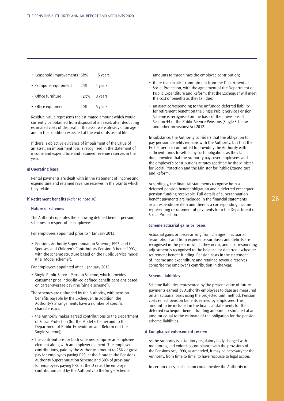• Leasehold improvements 6%% 15 years

| • Computer equipment | 25% | 4 years                 |
|----------------------|-----|-------------------------|
| • Office furniture   |     | $12\frac{1}{2}$ 8 years |

• Office equipment 20% 5 years

Residual value represents the estimated amount which would currently be obtained from disposal of an asset, after deducting estimated costs of disposal, if the asset were already of an age and in the condition expected at the end of its useful life.

If there is objective evidence of impairment of the value of an asset, an impairment loss is recognised in the statement of income and expenditure and retained revenue reserves in the year.

# **g) Operating lease**

Rental payments are dealt with in the statement of income and expenditure and retained revenue reserves in the year to which they relate.

#### **h) Retirement benefits** (Refer to note 18)

### **Nature of schemes**

The Authority operates the following defined benefit pension schemes in respect of its employees:

For employees appointed prior to 1 January 2013:

• Pensions Authority Superannuation Scheme, 1993, and the Spouses' and Children's Contributory Pension Scheme 1993, with the scheme structure based on the Public Service model (the "Model scheme").

For employees appointed after 1 January 2013:

- Single Public Service Pension Scheme, which provides consumer price index-linked defined benefit pensions based on career-average pay (the "Single scheme").
- The schemes are unfunded by the Authority, with pension benefits payable by the Exchequer. In addition, the Authority's arrangements have a number of specific characteristics:
- the Authority makes agreed contributions to the Department of Social Protection (for the Model scheme) and to the Department of Public Expenditure and Reform (for the Single scheme);
- the contributions for both schemes comprise an employee element along with an employer element. The employer contributions, paid by the Authority, amount to 25% of gross pay for employees paying PRSI at the A rate in the Pensions Authority Superannuation Scheme and 30% of gross pay for employees paying PRSI at the D rate. The employer contribution paid by the Authority to the Single Scheme

amounts to three times the employee contribution;

- there is an explicit commitment from the Department of Social Protection, with the agreement of the Department of Public Expenditure and Reform, that the Exchequer will meet the cost of benefits as they fall due;
- an asset corresponding to the unfunded deferred liability for retirement benefit on the Single Public Service Pension Scheme is recognised on the basis of the provisions of Section 44 of the Public Service Pensions (Single Scheme and other provisions) Act 2012.

In substance, the Authority considers that the obligation to pay pension benefits remains with the Authority, but that the Exchequer has committed to providing the Authority with sufficient funds to settle any such obligations as they fall due, provided that the Authority pays over employees' and the employer's contributions at rates specified by the Minister for Social Protection and the Minister for Public Expenditure and Reform.

Accordingly, the financial statements recognise both a deferred pension benefit obligation and a deferred exchequer pension funding receivable. Full details of superannuation benefit payments are included in the financial statements as an expenditure item and there is a corresponding income representing recoupment of payments from the Department of Social Protection.

#### **Scheme actuarial gains or losses**

Actuarial gains or losses arising from changes in actuarial assumptions and from experience surpluses and deficits are recognised in the year in which they occur, and a corresponding adjustment is recognised to the balance for deferred exchequer retirement benefit funding. Pension costs in the statement of income and expenditure and retained revenue reserves comprise the employer's contribution in the year.

#### **Scheme liabilities**

Scheme liabilities represented by the present value of future payments earned by Authority employees to date are measured on an actuarial basis using the projected unit method. Pension costs reflect pension benefits earned by employees. The amount to be included in the financial statements for the deferred exchequer benefit funding amount is estimated at an amount equal to the estimate of the obligation for the pension scheme liabilities.

### **i) Compliance enforcement reserve**

As the Authority is a statutory regulatory body charged with monitoring and enforcing compliance with the provisions of the Pensions Act, 1990, as amended, it may be necessary for the Authority, from time to time, to have recourse to legal action.

In certain cases, such action could involve the Authority in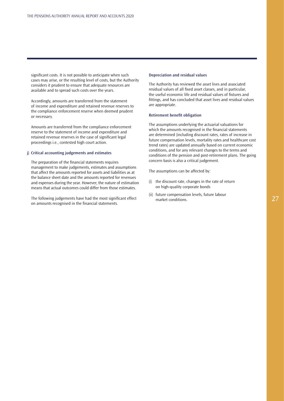significant costs. It is not possible to anticipate when such cases may arise, or the resulting level of costs, but the Authority considers it prudent to ensure that adequate resources are available and to spread such costs over the years.

Accordingly, amounts are transferred from the statement of income and expenditure and retained revenue reserves to the compliance enforcement reserve when deemed prudent or necessary.

Amounts are transferred from the compliance enforcement reserve to the statement of income and expenditure and retained revenue reserves in the case of significant legal proceedings i.e., contested high court action.

### **j) Critical accounting judgements and estimates**

The preparation of the financial statements requires management to make judgements, estimates and assumptions that affect the amounts reported for assets and liabilities as at the balance sheet date and the amounts reported for revenues and expenses during the year. However, the nature of estimation means that actual outcomes could differ from those estimates.

The following judgements have had the most significant effect on amounts recognised in the financial statements.

#### **Depreciation and residual values**

The Authority has reviewed the asset lives and associated residual values of all fixed asset classes, and in particular, the useful economic life and residual values of fixtures and fittings, and has concluded that asset lives and residual values are appropriate.

### **Retirement benefit obligation**

The assumptions underlying the actuarial valuations for which the amounts recognised in the financial statements are determined (including discount rates, rates of increase in future compensation levels, mortality rates and healthcare cost trend rates) are updated annually based on current economic conditions, and for any relevant changes to the terms and conditions of the pension and post-retirement plans. The going concern basis is also a critical judgement.

The assumptions can be affected by:

- (i) the discount rate, changes in the rate of return on high-quality corporate bonds
- (ii) future compensation levels, future labour market conditions.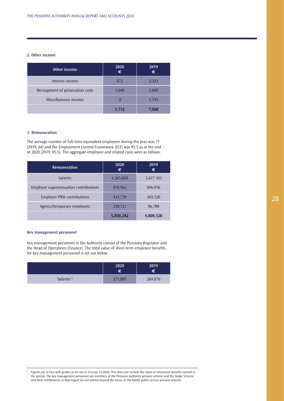# **2. Other income**

| Other income                    | 2020  | 2019<br>€ |
|---------------------------------|-------|-----------|
| Interest income                 | 672   | 3,323     |
| Recoupment of prosecution costs | 1,040 | 2,000     |
| Miscellaneous income            |       | 1,745     |
|                                 | 1,712 | 7.068     |

# **3. Remuneration**

The average number of full-time equivalent employees during the year was 71 (2019, 64) and the Employment Control Framework (ECF) was 93.5 as at the end of 2020 (2019, 95.5). The aggregate employee and related costs were as follows:

| <b>Remuneration</b>                   | 2020<br>€ | 2019<br>€ |
|---------------------------------------|-----------|-----------|
| <b>Salaries</b>                       | 4,265,820 | 3,637,103 |
| Employer superannuation contributions | 810,962   | 696,916   |
| <b>Employer PRSI contributions</b>    | 433,739   | 369,520   |
| Agency/temporary employees            | 339,721   | 96,789    |
|                                       | 5,850,242 | 4,800,328 |

# **Key management personnel**

Key management personnel in the Authority consist of the Pensions Regulator and the Head of Operations (Finance). The total value of short-term employee benefits for key management personnel is set out below:

|                       | 2020<br>€ | 2019<br>€ |
|-----------------------|-----------|-----------|
| Salaries <sup>4</sup> | 271,085   | 264,076   |

<sup>4</sup> Figures are in line with grades as set out in Circular 12/2020. This does not include the value of retirement benefits earned in the period. The key management personnel are members of the Pensions Authority pension scheme and the Single Scheme and their entitlements in that regard do not extend beyond the terms of the Model public service pension scheme.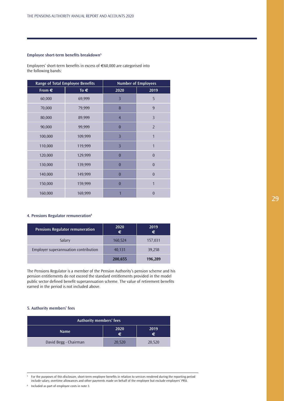# **Employee short-term benefits breakdown5**

Employees' short-term benefits in excess of €60,000 are categorised into the following bands:

| <b>Range of Total Employee Benefits</b> |               |                | <b>Number of Employees</b> |
|-----------------------------------------|---------------|----------------|----------------------------|
| From $\in$                              | To $\epsilon$ | 2020           | 2019                       |
| 60,000                                  | 69,999        | $\overline{3}$ | 5                          |
| 70,000                                  | 79,999        | 8              | 9                          |
| 80,000                                  | 89,999        | $\overline{4}$ | $\overline{3}$             |
| 90,000                                  | 99,999        | $\bf{0}$       | $\overline{2}$             |
| 100,000                                 | 109,999       | $\overline{3}$ | 1                          |
| 110,000                                 | 119,999       | $\overline{3}$ | 1                          |
| 120,000                                 | 129,999       | $\overline{0}$ | $\theta$                   |
| 130,000                                 | 139,999       | $\overline{0}$ | $\theta$                   |
| 140,000                                 | 149,999       | $\overline{0}$ | $\theta$                   |
| 150,000                                 | 159,999       | $\overline{0}$ | $\mathbf 1$                |
| 160,000                                 | 169,999       |                | $\Omega$                   |

# **4. Pensions Regulator remuneration6**

| <b>Pensions Regulator remuneration</b> | 2020<br>€ | 2019<br>€ |
|----------------------------------------|-----------|-----------|
| Salary                                 | 160,524   | 157,031   |
| Employer superannuation contribution   | 40,131    | 39,258    |
|                                        | 200,655   | 196,289   |

The Pensions Regulator is a member of the Pension Authority's pension scheme and his pension entitlements do not exceed the standard entitlements provided in the model public sector defined benefit superannuation scheme. The value of retirement benefits earned in the period is not included above.

# **5. Authority members' fees**

| Authority members' fees               |        |        |
|---------------------------------------|--------|--------|
| 2020<br>2019<br><b>Name</b><br>€<br>€ |        |        |
| David Begg - Chairman                 | 20,520 | 20,520 |

<sup>5</sup> For the purposes of this disclosure, short-term employee benefits in relation to services rendered during the reporting period include salary, overtime allowances and other payments made on behalf of the employee but exclude employers' PRSI.

<sup>6</sup> Included as part of employee costs in note 3.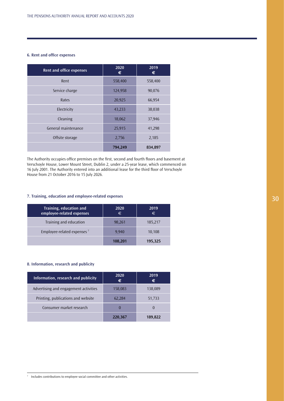# **6. Rent and office expenses**

| <b>Rent and office expenses</b> | 2020<br>€ | 2019<br>€ |
|---------------------------------|-----------|-----------|
| Rent                            | 558,400   | 558,400   |
| Service charge                  | 124,958   | 90,076    |
| Rates                           | 20,925    | 66,954    |
| Electricity                     | 43,233    | 38,038    |
| Cleaning                        | 18,062    | 37,946    |
| General maintenance             | 25,915    | 41,298    |
| Offsite storage                 | 2,756     | 2,185     |
|                                 | 794,249   | 834,897   |

The Authority occupies office premises on the first, second and fourth floors and basement at Verschoyle House, Lower Mount Street, Dublin 2, under a 25-year lease, which commenced on 16 July 2001. The Authority entered into an additional lease for the third floor of Verschoyle House from 21 October 2016 to 15 July 2026.

# **7. Training, education and employee-related expenses**

| Training, education and<br>employee-related expenses | 2020<br>€ | 2019<br>€ |
|------------------------------------------------------|-----------|-----------|
| Training and education                               | 98,261    | 185,217   |
| Employee-related expenses <sup>7</sup>               | 9.940     | 10,108    |
|                                                      | 108,201   | 195,325   |

# **8. Information, research and publicity**

| Information, research and publicity   | 2020<br>€ | 2019<br>€ |
|---------------------------------------|-----------|-----------|
| Advertising and engagement activities | 158,083   | 138,089   |
| Printing, publications and website    | 62,284    | 51,733    |
| Consumer market research              | O         |           |
|                                       | 220,367   | 189.822   |

30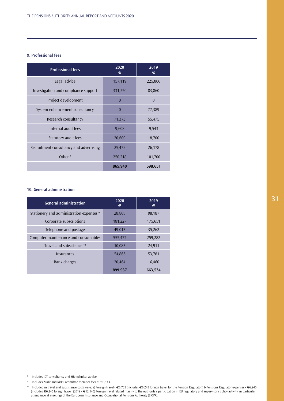# **9. Professional fees**

| <b>Professional fees</b>                | 2020<br>€ | 2019<br>€      |
|-----------------------------------------|-----------|----------------|
| Legal advice                            | 157,119   | 225,806        |
| Investigation and compliance support    | 331,550   | 83,860         |
| Project development                     | $\theta$  | $\overline{0}$ |
| System enhancement consultancy          | $\theta$  | 77,389         |
| Research consultancy                    | 71,373    | 55,475         |
| Internal audit fees                     | 9,608     | 9,543          |
| Statutory audit fees                    | 20,600    | 18,700         |
| Recruitment consultancy and advertising | 25,472    | 26,178         |
| Other $8$                               | 250,218   | 101,700        |
|                                         | 865,940   | 598,651        |

#### **10. General administration**

| <b>General administration</b>                       | 2020<br>€ | 2019<br>€ |
|-----------------------------------------------------|-----------|-----------|
| Stationery and administration expenses <sup>9</sup> | 28,808    | 98,187    |
| Corporate subscriptions                             | 181,227   | 175,651   |
| Telephone and postage                               | 49,013    | 35,262    |
| Computer maintenance and consumables                | 555,477   | 259,282   |
| Travel and subsistence 10                           | 10,083    | 24,911    |
| Insurances                                          | 54,865    | 53,781    |
| <b>Bank charges</b>                                 | 20,464    | 16,460    |
|                                                     | 899,937   | 663,534   |

<sup>8</sup> Includes ICT consultancy and HR technical advice.

Includes Audit and Risk Committee member fees of €3,143.

<sup>10</sup> Included in travel and subsistence costs were: a) Foreign travel - €6,735 (includes €6,245 foreign travel for the Pension Regulator)) b)Pensions Regulator expenses - €6,245 (includes €6,245 foreign travel) (2019 - €12,145) Foreign travel related mainly to the Authority's participation in EU regulatory and supervisory policy activity, in particular attendance at meetings of the European Insurance and Occupational Pensions Authority (EIOPA).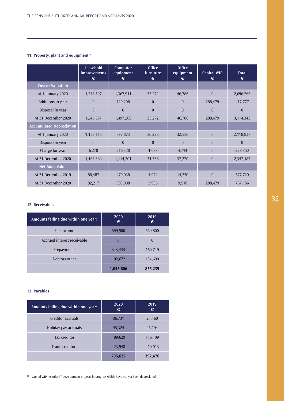# **11. Property, plant and equipment<sup>11</sup>**

|                                 | Leasehold<br><i>improvements</i><br>€ | Computer<br>equipment<br>€ | <b>Office</b><br>furniture<br>€ | <b>Office</b><br>equipment<br>€ | <b>Capital WIP</b><br>€ | <b>Total</b><br>€ |
|---------------------------------|---------------------------------------|----------------------------|---------------------------------|---------------------------------|-------------------------|-------------------|
| <b>Cost or Valuation</b>        |                                       |                            |                                 |                                 |                         |                   |
| At 1 January 2020               | 1,246,597                             | 1,367,911                  | 35,272                          | 46,786                          | $\Omega$                | 2,696,566         |
| Additions in year               | $\Omega$                              | 129,298                    | $\mathbf{0}$                    | $\Omega$                        | 288,479                 | 417,777           |
| Disposal in year                | $\theta$                              | $\theta$                   | $\theta$                        | $\theta$                        | $\Omega$                | $\theta$          |
| At 31 December 2020             | 1,246,597                             | 1,497,209                  | 35,272                          | 46,786                          | 288,479                 | 3,114,343         |
| <b>Accumulated Depreciation</b> |                                       |                            |                                 |                                 |                         |                   |
| At 1 January 2020               | 1,158,110                             | 897,873                    | 30,298                          | 32,556                          | $\theta$                | 2,118,837         |
| Disposal in year                | $\Omega$                              | $\theta$                   | $\Omega$                        | $\theta$                        | $\theta$                | $\theta$          |
| Charge for year                 | 6,270                                 | 216,328                    | 1,038                           | 4,714                           | $\theta$                | 228,350           |
| At 31 December 2020             | 1,164,380                             | 1,114,201                  | 31,336                          | 37,270                          | $\Omega$                | 2,347,187         |
| <b>Net Book Value</b>           |                                       |                            |                                 |                                 |                         |                   |
| At 31 December 2019             | 88,487                                | 470,038                    | 4,974                           | 14,230                          | $\Omega$                | 577,729           |
| At 31 December 2020             | 82,217                                | 383,008                    | 3,936                           | 9,516                           | 288,479                 | 767,156           |

# **12. Receivables**

| Amounts falling due within one year: | 2020<br>€ | 2019<br>€ |
|--------------------------------------|-----------|-----------|
| Fee income                           | 599,500   | 559,800   |
| Accrued interest receivable          | $\theta$  | $\Omega$  |
| Prepayments                          | 343,434   | 160,749   |
| Debtors other                        | 102,672   | 134,690   |
|                                      | 1,045,606 | 855,239   |

# **13. Payables**

| Amounts falling due within one year: | 2020<br>€ | 2019<br>€ |
|--------------------------------------|-----------|-----------|
| Creditor accruals                    | 86,731    | 21,160    |
| Holiday pay accruals                 | 95,324    | 45,194    |
| Tax creditor                         | 189,629   | 116,109   |
| Trade creditors                      | 423,948   | 210,013   |
|                                      | 795,632   | 392,476   |

11 Capital WIP includes IT development projects in progress which have not yet been depreciated.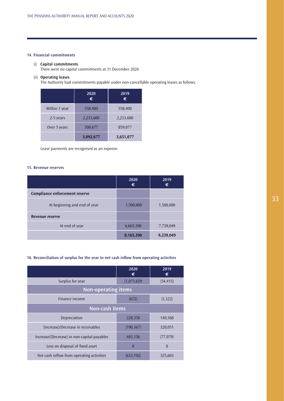# **14. Financial commitments**

# (i) **Capital commitments**

There were no capital commitments at 31 December 2020.

# (ii) **Operating leases**

The Authority had commitments payable under non-cancellable operating leases as follows:

|               | 2020<br>€ | 2019<br>€ |
|---------------|-----------|-----------|
| Within 1 year | 558,400   | 558,400   |
| 2-5 years     | 2,233,600 | 2,233,600 |
| Over 5 years  | 300,677   | 859,077   |
|               | 3,092,677 | 3,651,077 |

Lease payments are recognised as an expense.

# **15. Revenue reserves**

|                                | 2020<br>€ | 2019<br>€ |
|--------------------------------|-----------|-----------|
| Compliance enforcement reserve |           |           |
| At beginning and end of year   | 1,500,000 | 1,500,000 |
| Revenue reserve                |           |           |
| At end of year                 | 6,665,390 | 7,739,049 |
|                                | 8,165,390 | 9,239,049 |

# **16. Reconciliation of surplus for the year to net cash inflow from operating activities**

|                                             | 2020<br>€   | 2019<br>€ |
|---------------------------------------------|-------------|-----------|
| Surplus for year                            | (1,073,659) | (54, 415) |
| <b>Non-operating items</b>                  |             |           |
| Finance income                              | (672)       | (3,322)   |
| Non-cash items                              |             |           |
| Depreciation                                | 228,350     | 140,368   |
| (Increase)/Decrease in receivables          | (190, 367)  | 320,051   |
| Increase/(Decrease) in non-capital payables | 403,156     | (77, 079) |
| Loss on disposal of fixed asset             | $\Omega$    | $\Omega$  |
| Net cash inflow from operating activities   | (633, 192)  | 325,603   |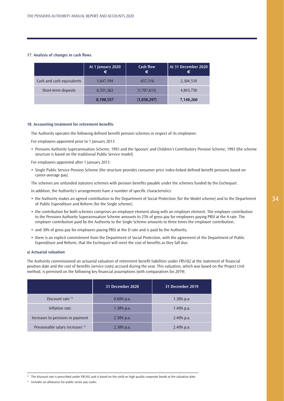# **17. Analysis of changes in cash flows**

|                           | At 1 January 2020<br>€ | Cash flow<br>€ | At 31 December 2020<br>€ |
|---------------------------|------------------------|----------------|--------------------------|
| Cash and cash equivalents | 1,647,194              | 657,316        | 2,304,510                |
| Short-term deposits       | 6,551,363              | (1,707,613)    | 4,843,750                |
|                           | 8,198,557              | (1,050,297)    | 7,148,260                |

### **18. Accounting treatment for retirement benefits**

The Authority operates the following defined benefit pension schemes in respect of its employees:

For employees appointed prior to 1 January 2013:

• Pensions Authority Superannuation Scheme, 1993 and the Spouses' and Children's Contributory Pension Scheme, 1993 (the scheme structure is based on the traditional Public Service model).

For employees appointed after 1 January 2013:

• Single Public Service Pension Scheme (the structure provides consumer price index-linked defined benefit pensions based on career-average pay).

The schemes are unfunded statutory schemes with pension benefits payable under the schemes funded by the Exchequer.

In addition, the Authority's arrangements have a number of specific characteristics:

- the Authority makes an agreed contribution to the Department of Social Protection (for the Model scheme) and to the Department of Public Expenditure and Reform (for the Single scheme);
- the contribution for both schemes comprises an employee element along with an employer element. The employer contribution to the Pensions Authority Superannuation Scheme amounts to 25% of gross pay for employees paying PRSI at the A rate. The employer contribution paid by the Authority to the Single Scheme amounts to three times the employee contribution;
- and 30% of gross pay for employees paying PRSI at the D rate and is paid by the Authority;
- there is an explicit commitment from the Department of Social Protection, with the agreement of the Department of Public Expenditure and Reform, that the Exchequer will meet the cost of benefits as they fall due.

# **a) Actuarial valuation**

The Authority commissioned an actuarial valuation of retirement benefit liabilities under FRS102 at the statement of financial position date and the cost of benefits (service costs) accrued during the year. This valuation, which was based on the Project Unit method, is premised on the following key financial assumptions (with comparatives for 2019):

|                                            | 31 December 2020 | 31 December 2019 |
|--------------------------------------------|------------------|------------------|
| Discount rate $12$                         | $0.60\%$ p.a.    | 1.30% p.a.       |
| Inflation rate                             | $1.30\%$ p.a.    | 1.40% p.a.       |
| Increases to pensions in payment           | $2.30\%$ p.a.    | $2.40\%$ p.a.    |
| Pensionable salary increases <sup>13</sup> | $2.30\%$ p.a.    | $2.40\%$ p.a.    |

<sup>12</sup> The discount rate is prescribed under FRS102 and is based on the yield on high quality corporate bonds at the valuation date.

<sup>13</sup> Includes an allowance for public sector pay scales.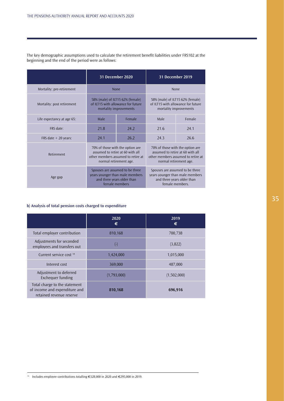|                            | 31 December 2020                                                                                                                     |        |      | <b>31 December 2019</b>                                                                                                              |
|----------------------------|--------------------------------------------------------------------------------------------------------------------------------------|--------|------|--------------------------------------------------------------------------------------------------------------------------------------|
| Mortality: pre-retirement  |                                                                                                                                      | None   |      | None                                                                                                                                 |
| Mortality: post retirement | 58% (male) of ILT15 62% (female)<br>of ILT15 with allowance for future<br>mortality improvements                                     |        |      | 58% (male) of ILT15 62% (female)<br>of ILT15 with allowance for future<br>mortality improvements                                     |
| Life expectancy at age 65: | Male                                                                                                                                 | Female | Male | Female                                                                                                                               |
| FRS date:                  | 21.8                                                                                                                                 | 24.2   | 21.6 | 24.1                                                                                                                                 |
| FRS date $+$ 20 years:     | 24.1                                                                                                                                 | 26.2   | 24.3 | 26.6                                                                                                                                 |
| Retirement                 | 70% of those with the option are<br>assumed to retire at 60 with all<br>other members assumed to retire at<br>normal retirement age. |        |      | 70% of those with the option are<br>assumed to retire at 60 with all<br>other members assumed to retire at<br>normal retirement age. |
| Age gap                    | Spouses are assumed to be three<br>years younger than male members<br>and three years older than<br>female members                   |        |      | Spouses are assumed to be three<br>years younger than male members<br>and three years older than<br>female members.                  |

The key demographic assumptions used to calculate the retirement benefit liabilities under FRS102 at the beginning and the end of the period were as follows:

# **b) Analysis of total pension costs charged to expenditure**

|                                                                                            | 2020<br>€          | 2019<br>€   |
|--------------------------------------------------------------------------------------------|--------------------|-------------|
| Total employer contribution                                                                | 810,168            | 700,738     |
| Adjustments for seconded<br>employees and transfers out                                    | $(\textnormal{-})$ | (3,822)     |
| Current service cost 14                                                                    | 1,424,000          | 1,015,000   |
| Interest cost                                                                              | 369,000            | 487,000     |
| Adjustment to deferred<br>Exchequer funding                                                | (1,793,000)        | (1,502,000) |
| Total charge to the statement<br>of income and expenditure and<br>retained revenue reserve | 810,168            | 696,916     |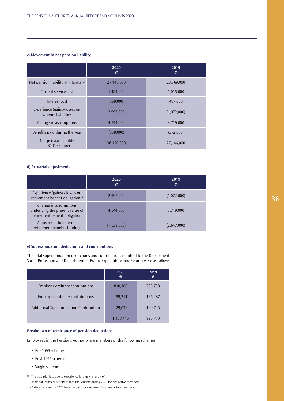# **c) Movement in net pension liability**

|                                                    | 2020<br>€  | 2019<br>€   |
|----------------------------------------------------|------------|-------------|
| Net pension liability at 1 January                 | 27,146,000 | 23,369,000  |
| Current service cost                               | 1,424,000  | 1,015,000   |
| Interest cost                                      | 369,000    | 487,000     |
| Experience (gains)/losses on<br>scheme liabilities | 2,995,000  | (1,072,000) |
| Change in assumptions                              | 4,544,000  | 3,719,000   |
| Benefits paid during the year                      | (358,000)  | (372,000)   |
| Net pension liability<br>at 31 December            | 36,120,000 | 27,146,000  |

# **d) Actuarial adjustments**

|                                                                                           | 2020<br>€   | 2019<br>€   |
|-------------------------------------------------------------------------------------------|-------------|-------------|
| Experience (gains) / losses on<br>retirement benefit obligation <sup>15</sup>             | 2,995,000   | (1,072,000) |
| Change in assumptions<br>underlying the present value of<br>retirement benefit obligation | 4,544,000   | 3,719,000   |
| Adjustment to deferred<br>retirement benefits funding                                     | (7,539,000) | (2,647,000) |

# **e) Superannuation deductions and contributions**

The total superannuation deductions and contributions remitted to the Department of Social Protection and Department of Public Expenditure and Reform were as follows:

|                                        | 2020<br>€ | 2019<br>€ |
|----------------------------------------|-----------|-----------|
| Employer ordinary contributions        | 810,168   | 700,738   |
| Employee ordinary contributions        | 199,211   | 165,287   |
| Additional Superannuation Contribution | 129,036   | 129,745   |
|                                        | 1,138,415 | 995,770   |

# **Breakdown of remittance of pension deductions**

Employees in the Pensions Authority are members of the following schemes:

- Pre 1995 scheme
- Post 1995 scheme
- Single scheme

<sup>&</sup>lt;sup>15</sup> The actuarial loss due to experience is largely a result of:

 <sup>-</sup> Material transfers of service into the Scheme during 2020 for two active members.

 <sup>-</sup> Salary increases in 2020 being higher than assumed for some active members.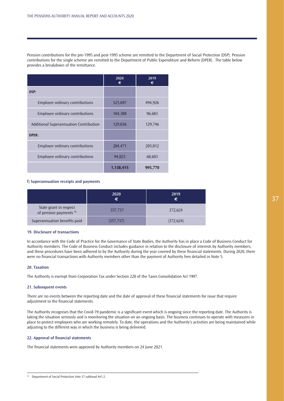Pension contributions for the pre-1995 and post-1995 scheme are remitted to the Department of Social Protection (DSP). Pension contributions for the single scheme are remitted to the Department of Public Expenditure and Reform (DPER). The table below provides a breakdown of the remittance.

|                                        | 2020<br>€ | 2019<br>€ |
|----------------------------------------|-----------|-----------|
| DSP:                                   |           |           |
| Employer ordinary contributions        | 525,697   | 494,926   |
| Employee ordinary contributions        | 104,388   | 96,683    |
| Additional Superannuation Contribution | 129,036   | 129,746   |
| DPER:                                  |           |           |
| Employer ordinary contributions        | 284,471   | 205,812   |
| Employee ordinary contributions        | 94,823    | 68,603    |
|                                        | 1,138,415 | 995,770   |

### **f) Superannuation receipts and payments**

|                                                             | 2020<br>€  | 2019<br>€  |
|-------------------------------------------------------------|------------|------------|
| State grant in respect<br>of pension payments <sup>16</sup> | 357,737    | 372,624    |
| Superannuation benefits paid                                | (357, 737) | (372, 624) |

# **19. Disclosure of transactions**

In accordance with the Code of Practice for the Governance of State Bodies, the Authority has in place a Code of Business Conduct for Authority members. The Code of Business Conduct includes guidance in relation to the disclosure of interests by Authority members, and these procedures have been adhered to by the Authority during the year covered by these financial statements. During 2020, there were no financial transactions with Authority members other than the payment of Authority fees detailed in Note 5.

# **20. Taxation**

The Authority is exempt from Corporation Tax under Section 220 of the Taxes Consolidation Act 1997.

#### **21. Subsequent events**

There are no events between the reporting date and the date of approval of these financial statements for issue that require adjustment to the financial statements.

The Authority recognises that the Covid-19 pandemic is a significant event which is ongoing since the reporting date. The Authority is taking the situation seriously and is monitoring the situation on an ongoing basis. The business continues to operate with measures in place to protect employees who are working remotely. To date, the operations and the Authority's activities are being maintained while adjusting to the different way in which the business is being delivered.

# **22. Approval of financial statements**

The financial statements were approved by Authority members on 24 June 2021.

<sup>16</sup> Department of Social Protection Vote 37 subhead A41.2.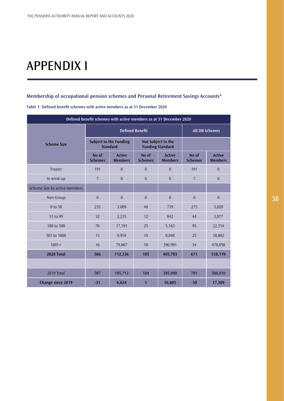# APPENDIX I

# **Membership of occupational pension schemes and Personal Retirement Savings Accounts\***

| Defined benefit schemes with active members as at 31 December 2020 |                                                  |                                 |                                               |                                 |                         |                                 |
|--------------------------------------------------------------------|--------------------------------------------------|---------------------------------|-----------------------------------------------|---------------------------------|-------------------------|---------------------------------|
|                                                                    | <b>Defined Benefit</b>                           |                                 |                                               | <b>All DB Schemes</b>           |                         |                                 |
| <b>Scheme Size</b>                                                 | <b>Subject to the Funding</b><br><b>Standard</b> |                                 | Not Subject to the<br><b>Funding Standard</b> |                                 |                         |                                 |
|                                                                    | No of<br><b>Schemes</b>                          | <b>Active</b><br><b>Members</b> | No of<br><b>Schemes</b>                       | <b>Active</b><br><b>Members</b> | No of<br><b>Schemes</b> | <b>Active</b><br><b>Members</b> |
| Frozen                                                             | 191                                              | $\mathbf{0}$                    | $\theta$                                      | $\mathbf{0}$                    | 191                     | $\mathbf{0}$                    |
| In wind-up                                                         | $7\overline{ }$                                  | $\theta$                        | $\theta$                                      | $\theta$                        | $7\overline{ }$         | $\overline{0}$                  |
| Scheme size by active members                                      |                                                  |                                 |                                               |                                 |                         |                                 |
| Non-Group                                                          | $\overline{0}$                                   | $\overline{0}$                  | $\overline{0}$                                | $\overline{0}$                  | $\overline{0}$          | $\boldsymbol{0}$                |
| 0 to 50                                                            | 235                                              | 3,089                           | 40                                            | 739                             | 275                     | 3,828                           |
| 51 to 99                                                           | 32                                               | 2,235                           | 12                                            | 842                             | 44                      | 3,077                           |
| 100 to 500                                                         | 70                                               | 17,191                          | 25                                            | 5,163                           | 95                      | 22,354                          |
| 501 to 1000                                                        | 15                                               | 9,954                           | 10                                            | 8,048                           | 25                      | 18,002                          |
| $1001+$                                                            | 16                                               | 79,867                          | 18                                            | 390,991                         | 34                      | 470,858                         |
| 2020 Total                                                         | 566                                              | 112,336                         | 105                                           | 405,783                         | 671                     | 518,119                         |
|                                                                    |                                                  |                                 |                                               |                                 |                         |                                 |
| 2019 Total                                                         | 597                                              | 105,712                         | 104                                           | 395,098                         | 701                     | 500,810                         |
| <b>Change since 2019</b>                                           | $-31$                                            | 6,624                           | 1                                             | 10,685                          | $-30$                   | 17,309                          |

**Table 1: Defined benefit schemes with active members as at 31 December 2020**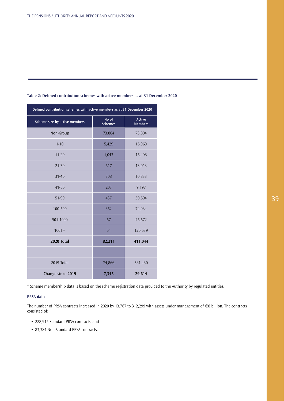| Defined contribution schemes with active members as at 31 December 2020 |                         |                                 |  |
|-------------------------------------------------------------------------|-------------------------|---------------------------------|--|
| Scheme size by active members                                           | No of<br><b>Schemes</b> | <b>Active</b><br><b>Members</b> |  |
| Non-Group                                                               | 73,804                  | 73,804                          |  |
| $1 - 10$                                                                | 5,429                   | 16,960                          |  |
| $11 - 20$                                                               | 1,043                   | 15,498                          |  |
| $21 - 30$                                                               | 517                     | 13,013                          |  |
| $31 - 40$                                                               | 308                     | 10,833                          |  |
| $41 - 50$                                                               | 203                     | 9,197                           |  |
| 51-99                                                                   | 437                     | 30,594                          |  |
| 100-500                                                                 | 352                     | 74,934                          |  |
| 501-1000                                                                | 67                      | 45,672                          |  |
| $1001 +$                                                                | 51                      | 120,539                         |  |
| 2020 Total                                                              | 82,211                  | 411,044                         |  |
|                                                                         |                         |                                 |  |
| 2019 Total                                                              | 74,866                  | 381,430                         |  |
| Change since 2019<br>7,345<br>29,614                                    |                         |                                 |  |

# **Table 2: Defined contribution schemes with active members as at 31 December 2020**

\* Scheme membership data is based on the scheme registration data provided to the Authority by regulated entities.

# **PRSA data**

The number of PRSA contracts increased in 2020 by 13,767 to 312,299 with assets under management of €8 billion. The contracts consisted of:

- 228,915 Standard PRSA contracts, and
- 83,384 Non-Standard PRSA contracts.